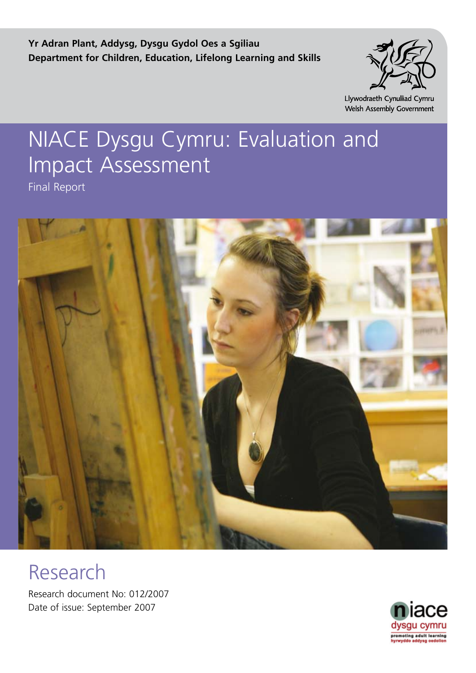**Yr Adran Plant, Addysg, Dysgu Gydol Oes a Sgiliau Department for Children, Education, Lifelong Learning and Skills**



Llywodraeth Cynulliad Cymru Welsh Assembly Government

# NIACE Dysgu Cymru: Evaluation and Impact Assessment

Final Report



# Research

Research document No: 012/2007 Date of issue: September 2007

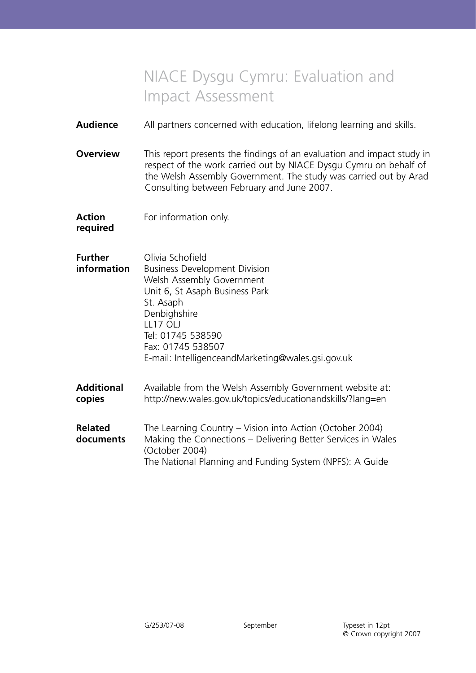# NIACE Dysgu Cymru: Evaluation and Impact Assessment

**Audience** All partners concerned with education, lifelong learning and skills.

**Overview** This report presents the findings of an evaluation and impact study in respect of the work carried out by NIACE Dysgu Cymru on behalf of the Welsh Assembly Government. The study was carried out by Arad Consulting between February and June 2007.

**Action** For information only.

**required**

| Further<br>information | Olivia Schofield<br><b>Business Development Division</b><br>Welsh Assembly Government<br>Unit 6, St Asaph Business Park<br>St. Asaph<br>Denbighshire<br>LL17 OLJ<br>Tel: 01745 538590<br>Fax: 01745 538507<br>E-mail: IntelligenceandMarketing@wales.gsi.gov.uk |
|------------------------|-----------------------------------------------------------------------------------------------------------------------------------------------------------------------------------------------------------------------------------------------------------------|
|                        |                                                                                                                                                                                                                                                                 |

**Additional** Available from the Welsh Assembly Government website at: **copies** http://new.wales.gov.uk/topics/educationandskills/?lang=en

| <b>Related</b> | The Learning Country – Vision into Action (October 2004)     |
|----------------|--------------------------------------------------------------|
| documents      | Making the Connections – Delivering Better Services in Wales |
|                | (October 2004)                                               |
|                | The National Planning and Funding System (NPFS): A Guide     |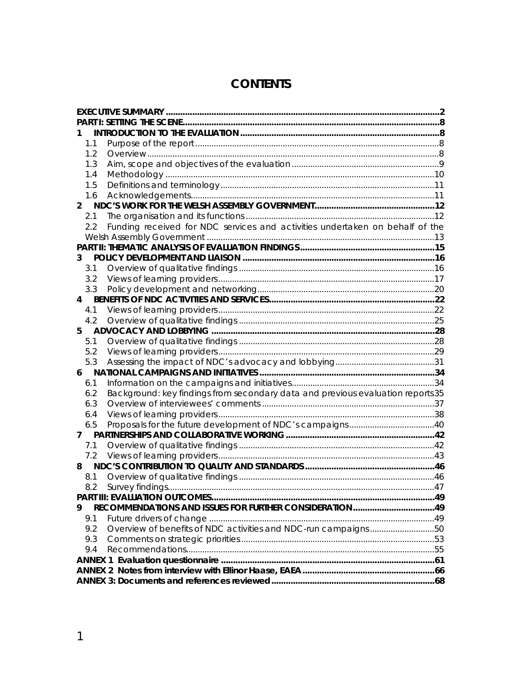# **CONTENTS**

| 1.1            |                                                                                |  |
|----------------|--------------------------------------------------------------------------------|--|
| 1.2            |                                                                                |  |
| 1.3            |                                                                                |  |
| 1.4            |                                                                                |  |
| 1.5            |                                                                                |  |
| 1.6            |                                                                                |  |
| $\overline{2}$ |                                                                                |  |
| 2.1            |                                                                                |  |
| 2.2            | Funding received for NDC services and activities undertaken on behalf of the   |  |
|                |                                                                                |  |
|                |                                                                                |  |
| 3              |                                                                                |  |
| 3.1            |                                                                                |  |
| 3.2            |                                                                                |  |
| 3.3            |                                                                                |  |
| 4              |                                                                                |  |
| 4.1            |                                                                                |  |
| 4.2            |                                                                                |  |
| 5.             |                                                                                |  |
| 5.1            |                                                                                |  |
| 5.2            |                                                                                |  |
| 5.3            |                                                                                |  |
| 6              |                                                                                |  |
| 6.1            |                                                                                |  |
| 6.2            | Background: key findings from secondary data and previous evaluation reports35 |  |
| 6.3            |                                                                                |  |
| 6.4            |                                                                                |  |
| 6.5            |                                                                                |  |
| 7              |                                                                                |  |
| 7.1            |                                                                                |  |
| 7.2            |                                                                                |  |
| 8              |                                                                                |  |
| 8.1            |                                                                                |  |
| 8.2            | . 47                                                                           |  |
|                |                                                                                |  |
| 9              |                                                                                |  |
| 9.1            |                                                                                |  |
| 9.2            | Overview of benefits of NDC activities and NDC-run campaigns50                 |  |
| 9.3            |                                                                                |  |
| 9.4            |                                                                                |  |
|                |                                                                                |  |
|                |                                                                                |  |
|                |                                                                                |  |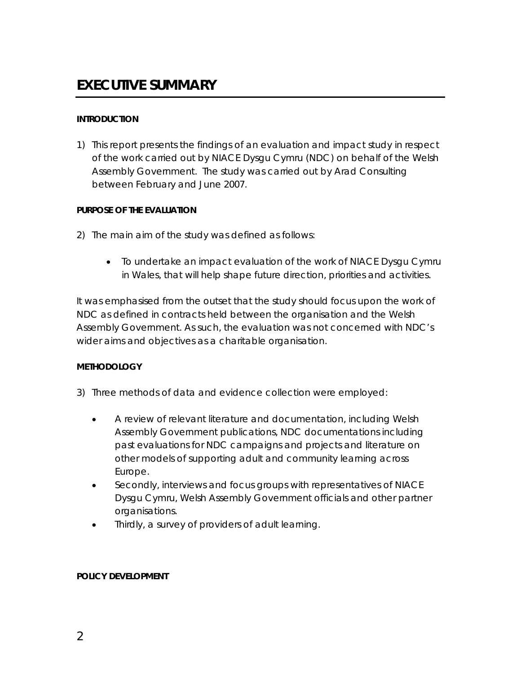#### <span id="page-3-0"></span>**INTRODUCTION**

1) This report presents the findings of an evaluation and impact study in respect of the work carried out by NIACE Dysgu Cymru (NDC) on behalf of the Welsh Assembly Government. The study was carried out by Arad Consulting between February and June 2007.

#### **PURPOSE OF THE EVALUATION**

- 2) The main aim of the study was defined as follows:
	- To undertake an impact evaluation of the work of NIACE Dysgu Cymru in Wales, that will help shape future direction, priorities and activities.

It was emphasised from the outset that the study should focus upon the work of NDC as defined in contracts held between the organisation and the Welsh Assembly Government. As such, the evaluation was not concerned with NDC's wider aims and objectives as a charitable organisation.

#### **METHODOLOGY**

- 3) Three methods of data and evidence collection were employed:
	- A review of relevant literature and documentation, including Welsh Assembly Government publications, NDC documentations including past evaluations for NDC campaigns and projects and literature on other models of supporting adult and community learning across Europe.
	- Secondly, interviews and focus groups with representatives of NIACE Dysgu Cymru, Welsh Assembly Government officials and other partner organisations.
	- Thirdly, a survey of providers of adult learning.

#### **POLICY DEVELOPMENT**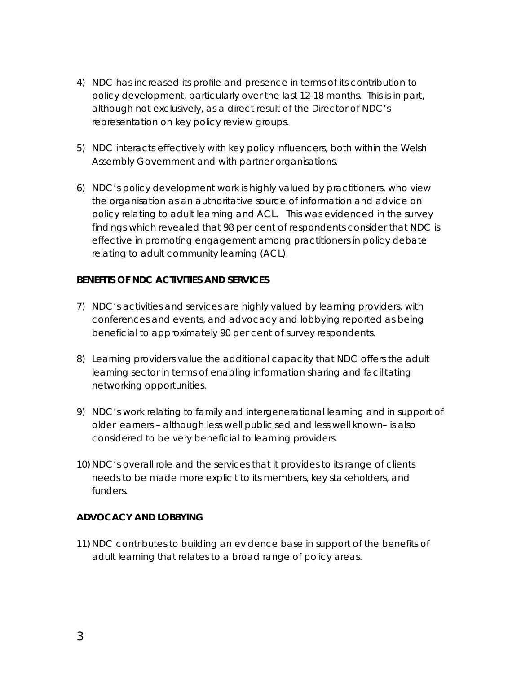- 4) NDC has increased its profile and presence in terms of its contribution to policy development, particularly over the last 12-18 months. This is in part, although not exclusively, as a direct result of the Director of NDC's representation on key policy review groups.
- 5) NDC interacts effectively with key policy influencers, both within the Welsh Assembly Government and with partner organisations.
- 6) NDC's policy development work is highly valued by practitioners, who view the organisation as an authoritative source of information and advice on policy relating to adult learning and ACL. This was evidenced in the survey findings which revealed that 98 per cent of respondents consider that NDC is effective in promoting engagement among practitioners in policy debate relating to adult community learning (ACL).

#### **BENEFITS OF NDC ACTIVITIES AND SERVICES**

- 7) NDC's activities and services are highly valued by learning providers, with conferences and events, and advocacy and lobbying reported as being beneficial to approximately 90 per cent of survey respondents.
- 8) Learning providers value the additional capacity that NDC offers the adult learning sector in terms of enabling information sharing and facilitating networking opportunities.
- 9) NDC's work relating to family and intergenerational learning and in support of older learners – although less well publicised and less well known– is also considered to be very beneficial to learning providers.
- 10) NDC's overall role and the services that it provides to its range of clients needs to be made more explicit to its members, key stakeholders, and funders.

#### **ADVOCACY AND LOBBYING**

11) NDC contributes to building an evidence base in support of the benefits of adult learning that relates to a broad range of policy areas.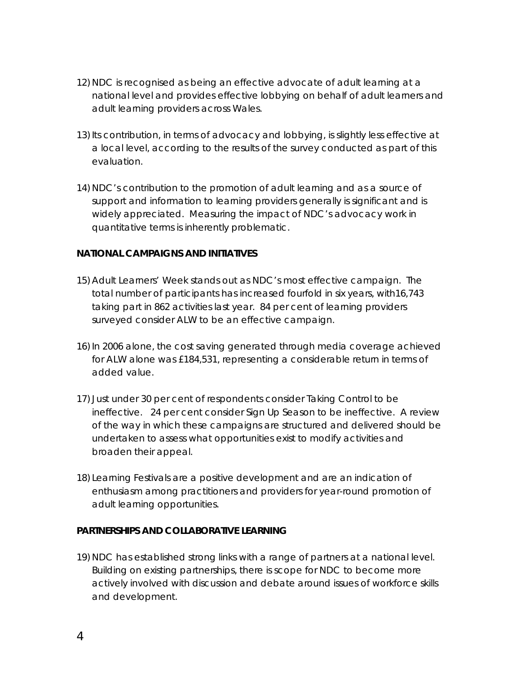- 12) NDC is recognised as being an effective advocate of adult learning at a national level and provides effective lobbying on behalf of adult learners and adult learning providers across Wales.
- 13) Its contribution, in terms of advocacy and lobbying, is slightly less effective at a local level, according to the results of the survey conducted as part of this evaluation.
- 14) NDC's contribution to the promotion of adult learning and as a source of support and information to learning providers generally is significant and is widely appreciated. Measuring the impact of NDC's advocacy work in quantitative terms is inherently problematic.

#### **NATIONAL CAMPAIGNS AND INITIATIVES**

- 15) Adult Learners' Week stands out as NDC's most effective campaign. The total number of participants has increased fourfold in six years, with16,743 taking part in 862 activities last year. 84 per cent of learning providers surveyed consider ALW to be an effective campaign.
- 16)In 2006 alone, the cost saving generated through media coverage achieved for ALW alone was £184,531, representing a considerable return in terms of added value.
- 17) Just under 30 per cent of respondents consider Taking Control to be ineffective. 24 per cent consider Sign Up Season to be ineffective. A review of the way in which these campaigns are structured and delivered should be undertaken to assess what opportunities exist to modify activities and broaden their appeal.
- 18) Learning Festivals are a positive development and are an indication of enthusiasm among practitioners and providers for year-round promotion of adult learning opportunities.

#### **PARTNERSHIPS AND COLLABORATIVE LEARNING**

19) NDC has established strong links with a range of partners at a national level. Building on existing partnerships, there is scope for NDC to become more actively involved with discussion and debate around issues of workforce skills and development.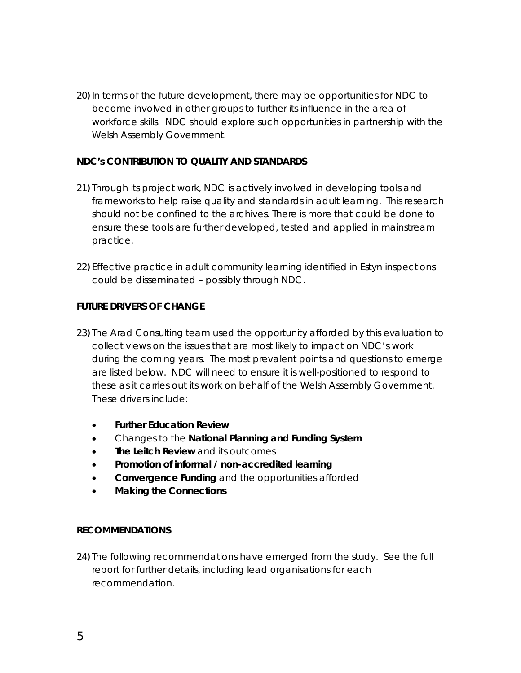20) In terms of the future development, there may be opportunities for NDC to become involved in other groups to further its influence in the area of workforce skills. NDC should explore such opportunities in partnership with the Welsh Assembly Government.

#### **NDC's CONTRIBUTION TO QUALITY AND STANDARDS**

- 21) Through its project work, NDC is actively involved in developing tools and frameworks to help raise quality and standards in adult learning. This research should not be confined to the archives. There is more that could be done to ensure these tools are further developed, tested and applied in mainstream practice.
- 22) Effective practice in adult community learning identified in Estyn inspections could be disseminated – possibly through NDC.

#### **FUTURE DRIVERS OF CHANGE**

- 23) The Arad Consulting team used the opportunity afforded by this evaluation to collect views on the issues that are most likely to impact on NDC's work during the coming years. The most prevalent points and questions to emerge are listed below. NDC will need to ensure it is well-positioned to respond to these as it carries out its work on behalf of the Welsh Assembly Government. These drivers include:
	- **Further Education Review**
	- Changes to the **National Planning and Funding System**
	- **The Leitch Review** and its outcomes
	- **Promotion of informal / non-accredited learning**
	- **Convergence Funding** and the opportunities afforded
	- **Making the Connections**

#### **RECOMMENDATIONS**

24) The following recommendations have emerged from the study. See the full report for further details, including lead organisations for each recommendation.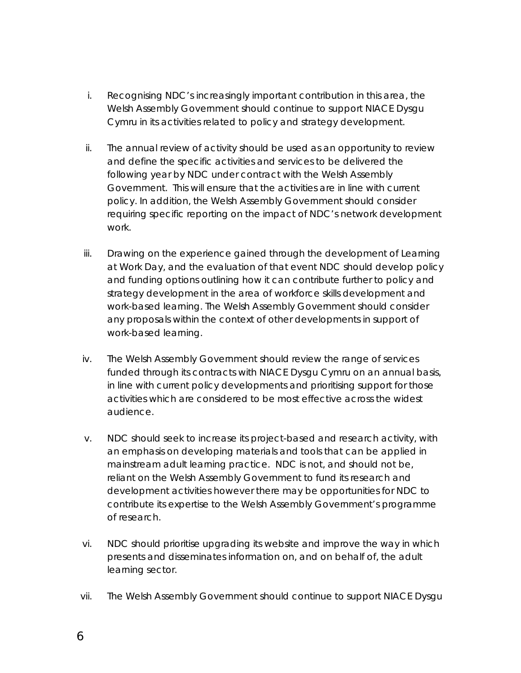- i. Recognising NDC's increasingly important contribution in this area, the Welsh Assembly Government should continue to support NIACE Dysgu Cymru in its activities related to policy and strategy development.
- ii. The annual review of activity should be used as an opportunity to review and define the specific activities and services to be delivered the following year by NDC under contract with the Welsh Assembly Government. This will ensure that the activities are in line with current policy. In addition, the Welsh Assembly Government should consider requiring specific reporting on the impact of NDC's network development work.
- iii. Drawing on the experience gained through the development of Learning at Work Day, and the evaluation of that event NDC should develop policy and funding options outlining how it can contribute further to policy and strategy development in the area of workforce skills development and work-based learning. The Welsh Assembly Government should consider any proposals within the context of other developments in support of work-based learning.
- iv. The Welsh Assembly Government should review the range of services funded through its contracts with NIACE Dysgu Cymru on an annual basis, in line with current policy developments and prioritising support for those activities which are considered to be most effective across the widest audience.
- v. NDC should seek to increase its project-based and research activity, with an emphasis on developing materials and tools that can be applied in mainstream adult learning practice. NDC is not, and should not be, reliant on the Welsh Assembly Government to fund its research and development activities however there may be opportunities for NDC to contribute its expertise to the Welsh Assembly Government's programme of research.
- vi. NDC should prioritise upgrading its website and improve the way in which presents and disseminates information on, and on behalf of, the adult learning sector.
- vii. The Welsh Assembly Government should continue to support NIACE Dysgu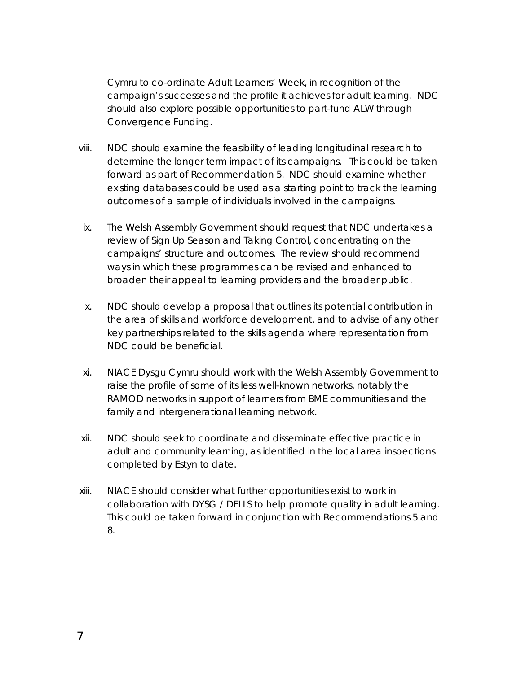Cymru to co-ordinate Adult Learners' Week, in recognition of the campaign's successes and the profile it achieves for adult learning. NDC should also explore possible opportunities to part-fund ALW through Convergence Funding.

- viii. NDC should examine the feasibility of leading longitudinal research to determine the longer term impact of its campaigns. This could be taken forward as part of Recommendation 5. NDC should examine whether existing databases could be used as a starting point to track the learning outcomes of a sample of individuals involved in the campaigns.
- ix. The Welsh Assembly Government should request that NDC undertakes a review of Sign Up Season and Taking Control, concentrating on the campaigns' structure and outcomes. The review should recommend ways in which these programmes can be revised and enhanced to broaden their appeal to learning providers and the broader public.
- x. NDC should develop a proposal that outlines its potential contribution in the area of skills and workforce development, and to advise of any other key partnerships related to the skills agenda where representation from NDC could be beneficial.
- xi. NIACE Dysgu Cymru should work with the Welsh Assembly Government to raise the profile of some of its less well-known networks, notably the RAMOD networks in support of learners from BME communities and the family and intergenerational learning network.
- xii. NDC should seek to coordinate and disseminate effective practice in adult and community learning, as identified in the local area inspections completed by Estyn to date.
- xiii. NIACE should consider what further opportunities exist to work in collaboration with DYSG / DELLS to help promote quality in adult learning. This could be taken forward in conjunction with Recommendations 5 and 8.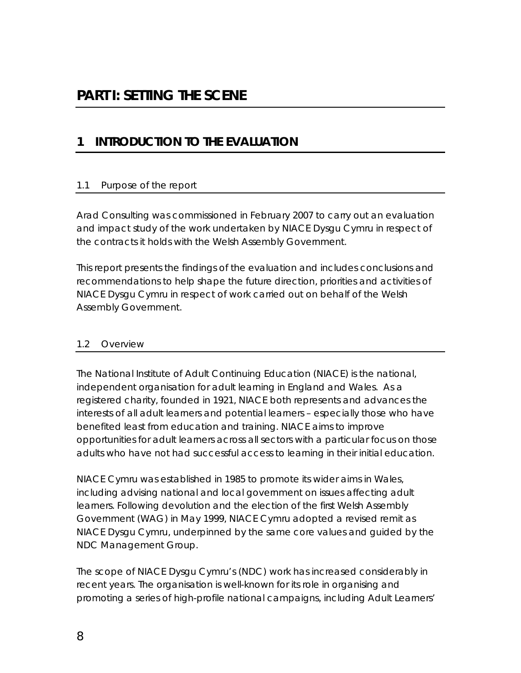## <span id="page-9-0"></span>**1 INTRODUCTION TO THE EVALUATION**

### 1.1 Purpose of the report

Arad Consulting was commissioned in February 2007 to carry out an evaluation and impact study of the work undertaken by NIACE Dysgu Cymru in respect of the contracts it holds with the Welsh Assembly Government.

This report presents the findings of the evaluation and includes conclusions and recommendations to help shape the future direction, priorities and activities of NIACE Dysgu Cymru in respect of work carried out on behalf of the Welsh Assembly Government.

### 1.2 Overview

The National Institute of Adult Continuing Education (NIACE) is the national, independent organisation for adult learning in England and Wales. As a registered charity, founded in 1921, NIACE both represents and advances the interests of all adult learners and potential learners – especially those who have benefited least from education and training. NIACE aims to improve opportunities for adult learners across all sectors with a particular focus on those adults who have not had successful access to learning in their initial education.

NIACE Cymru was established in 1985 to promote its wider aims in Wales, including advising national and local government on issues affecting adult learners. Following devolution and the election of the first Welsh Assembly Government (WAG) in May 1999, NIACE Cymru adopted a revised remit as NIACE Dysgu Cymru, underpinned by the same core values and guided by the NDC Management Group.

The scope of NIACE Dysgu Cymru's (NDC) work has increased considerably in recent years. The organisation is well-known for its role in organising and promoting a series of high-profile national campaigns, including Adult Learners'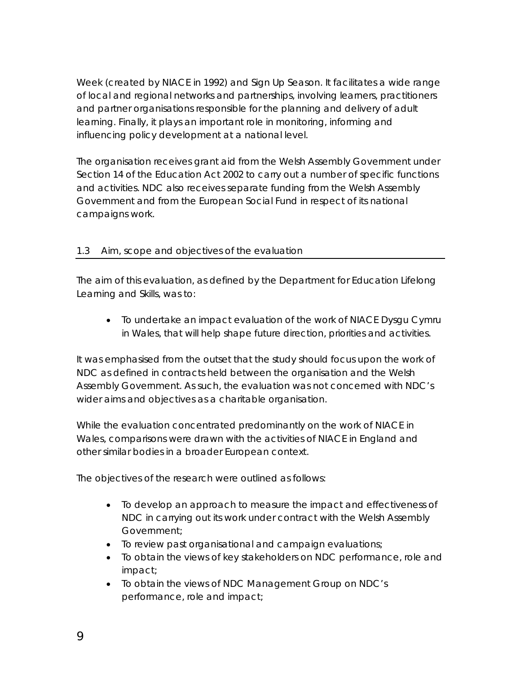<span id="page-10-0"></span>Week (created by NIACE in 1992) and Sign Up Season. It facilitates a wide range of local and regional networks and partnerships, involving learners, practitioners and partner organisations responsible for the planning and delivery of adult learning. Finally, it plays an important role in monitoring, informing and influencing policy development at a national level.

The organisation receives grant aid from the Welsh Assembly Government under Section 14 of the Education Act 2002 to carry out a number of specific functions and activities. NDC also receives separate funding from the Welsh Assembly Government and from the European Social Fund in respect of its national campaigns work.

### 1.3 Aim, scope and objectives of the evaluation

The aim of this evaluation, as defined by the Department for Education Lifelong Learning and Skills, was to:

• To undertake an impact evaluation of the work of NIACE Dysgu Cymru in Wales, that will help shape future direction, priorities and activities.

It was emphasised from the outset that the study should focus upon the work of NDC as defined in contracts held between the organisation and the Welsh Assembly Government. As such, the evaluation was not concerned with NDC's wider aims and objectives as a charitable organisation.

While the evaluation concentrated predominantly on the work of NIACE in Wales, comparisons were drawn with the activities of NIACE in England and other similar bodies in a broader European context.

The objectives of the research were outlined as follows:

- To develop an approach to measure the impact and effectiveness of NDC in carrying out its work under contract with the Welsh Assembly Government;
- To review past organisational and campaign evaluations;
- To obtain the views of key stakeholders on NDC performance, role and impact;
- To obtain the views of NDC Management Group on NDC's performance, role and impact;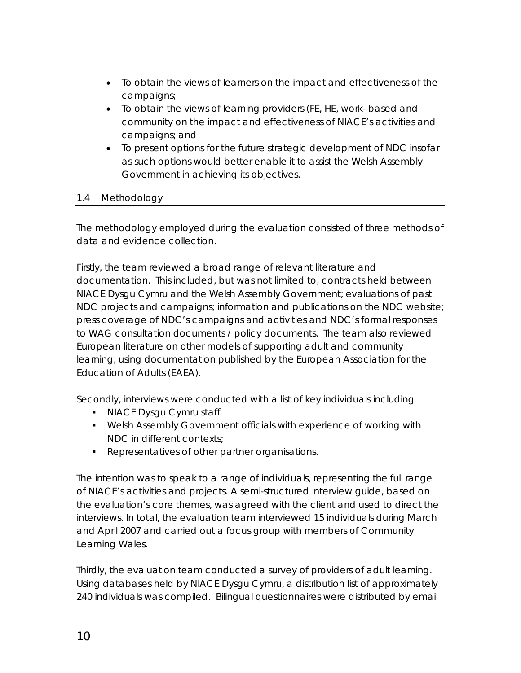- <span id="page-11-0"></span>• To obtain the views of learners on the impact and effectiveness of the campaigns;
- To obtain the views of learning providers (FE, HE, work- based and community on the impact and effectiveness of NIACE's activities and campaigns; and
- To present options for the future strategic development of NDC insofar as such options would better enable it to assist the Welsh Assembly Government in achieving its objectives.

### 1.4 Methodology

The methodology employed during the evaluation consisted of three methods of data and evidence collection.

Firstly, the team reviewed a broad range of relevant literature and documentation. This included, but was not limited to, contracts held between NIACE Dysgu Cymru and the Welsh Assembly Government; evaluations of past NDC projects and campaigns; information and publications on the NDC website; press coverage of NDC's campaigns and activities and NDC's formal responses to WAG consultation documents / policy documents. The team also reviewed European literature on other models of supporting adult and community learning, using documentation published by the European Association for the Education of Adults (EAEA).

Secondly, interviews were conducted with a list of key individuals including

- NIACE Dysgu Cymru staff
- Welsh Assembly Government officials with experience of working with NDC in different contexts;
- **Representatives of other partner organisations.**

The intention was to speak to a range of individuals, representing the full range of NIACE's activities and projects. A semi-structured interview guide, based on the evaluation's core themes, was agreed with the client and used to direct the interviews. In total, the evaluation team interviewed 15 individuals during March and April 2007 and carried out a focus group with members of Community Learning Wales.

Thirdly, the evaluation team conducted a survey of providers of adult learning. Using databases held by NIACE Dysgu Cymru, a distribution list of approximately 240 individuals was compiled. Bilingual questionnaires were distributed by email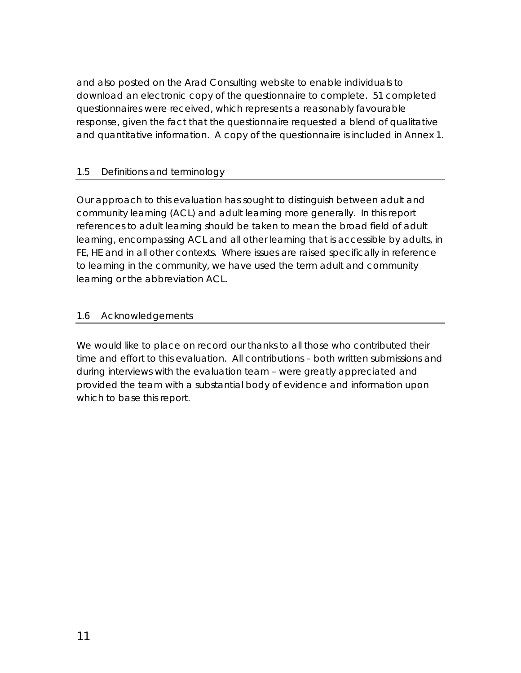<span id="page-12-0"></span>and also posted on the Arad Consulting website to enable individuals to download an electronic copy of the questionnaire to complete. 51 completed questionnaires were received, which represents a reasonably favourable response, given the fact that the questionnaire requested a blend of qualitative and quantitative information. A copy of the questionnaire is included in Annex 1.

### 1.5 Definitions and terminology

Our approach to this evaluation has sought to distinguish between adult and community learning (ACL) and adult learning more generally. In this report references to adult learning should be taken to mean the broad field of adult learning, encompassing ACL and all other learning that is accessible by adults, in FE, HE and in all other contexts. Where issues are raised specifically in reference to learning in the community, we have used the term adult and community learning or the abbreviation ACL.

#### 1.6 Acknowledgements

We would like to place on record our thanks to all those who contributed their time and effort to this evaluation. All contributions – both written submissions and during interviews with the evaluation team – were greatly appreciated and provided the team with a substantial body of evidence and information upon which to base this report.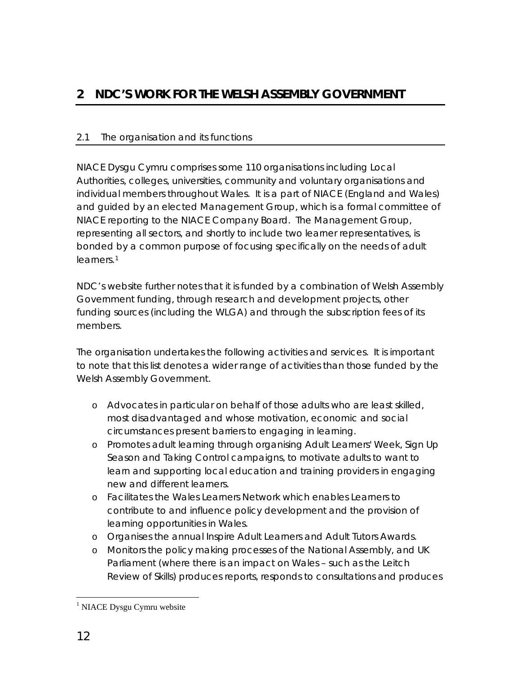## <span id="page-13-0"></span>**2 NDC'S WORK FOR THE WELSH ASSEMBLY GOVERNMENT**

### 2.1 The organisation and its functions

NIACE Dysgu Cymru comprises some 110 organisations including Local Authorities, colleges, universities, community and voluntary organisations and individual members throughout Wales. It is a part of NIACE (England and Wales) and guided by an elected Management Group, which is a formal committee of NIACE reporting to the NIACE Company Board. The Management Group, representing all sectors, and shortly to include two learner representatives, is bonded by a common purpose of focusing specifically on the needs of adult learners.[1](#page-13-1)

NDC's website further notes that it is funded by a combination of Welsh Assembly Government funding, through research and development projects, other funding sources (including the WLGA) and through the subscription fees of its members.

The organisation undertakes the following activities and services. It is important to note that this list denotes a wider range of activities than those funded by the Welsh Assembly Government.

- o Advocates in particular on behalf of those adults who are least skilled, most disadvantaged and whose motivation, economic and social circumstances present barriers to engaging in learning.
- o Promotes adult learning through organising Adult Learners' Week, Sign Up Season and Taking Control campaigns, to motivate adults to want to learn and supporting local education and training providers in engaging new and different learners.
- o Facilitates the Wales Learners Network which enables Learners to contribute to and influence policy development and the provision of learning opportunities in Wales.
- o Organises the annual Inspire Adult Learners and Adult Tutors Awards.
- o Monitors the policy making processes of the [National Assembly,](http://www.learning.wales.gov.uk/) and UK Parliament (where there is an impact on Wales – such as the Leitch Review of Skills) produces reports, responds to consultations and produces

 $\overline{a}$ 

<span id="page-13-1"></span><sup>&</sup>lt;sup>1</sup> NIACE Dysgu Cymru website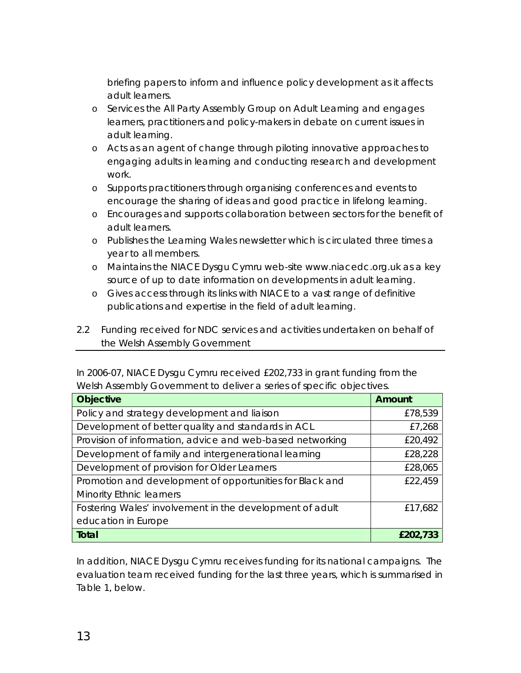<span id="page-14-0"></span>briefing papers to inform and influence policy development as it affects adult learners.

- o Services the All Party Assembly Group on Adult Learning and engages learners, practitioners and policy-makers in debate on current issues in adult learning.
- o Acts as an agent of change through piloting innovative approaches to engaging adults in learning and conducting research and development work.
- o Supports practitioners through organising conferences and events to encourage the sharing of ideas and good practice in lifelong learning.
- o Encourages and supports collaboration between sectors for the benefit of adult learners.
- o Publishes the Learning Wales newsletter which is circulated three times a year to all members.
- o Maintains the NIACE Dysgu Cymru web-site www.niacedc.org.uk as a key source of up to date information on developments in adult learning.
- o Gives access through its links with NIACE to a vast range of definitive publications and expertise in the field of adult learning.
- 2.2 Funding received for NDC services and activities undertaken on behalf of the Welsh Assembly Government

In 2006-07, NIACE Dysgu Cymru received £202,733 in grant funding from the Welsh Assembly Government to deliver a series of specific objectives.

| <b>Objective</b>                                          | <b>Amount</b> |
|-----------------------------------------------------------|---------------|
| Policy and strategy development and liaison               | £78,539       |
| Development of better quality and standards in ACL        | £7,268        |
| Provision of information, advice and web-based networking | £20,492       |
| Development of family and intergenerational learning      | £28,228       |
| Development of provision for Older Learners               | £28,065       |
| Promotion and development of opportunities for Black and  | £22,459       |
| <b>Minority Ethnic learners</b>                           |               |
| Fostering Wales' involvement in the development of adult  | £17,682       |
| education in Europe                                       |               |
| <b>Total</b>                                              | £202,733      |

In addition, NIACE Dysgu Cymru receives funding for its national campaigns. The evaluation team received funding for the last three years, which is summarised in Table 1, below.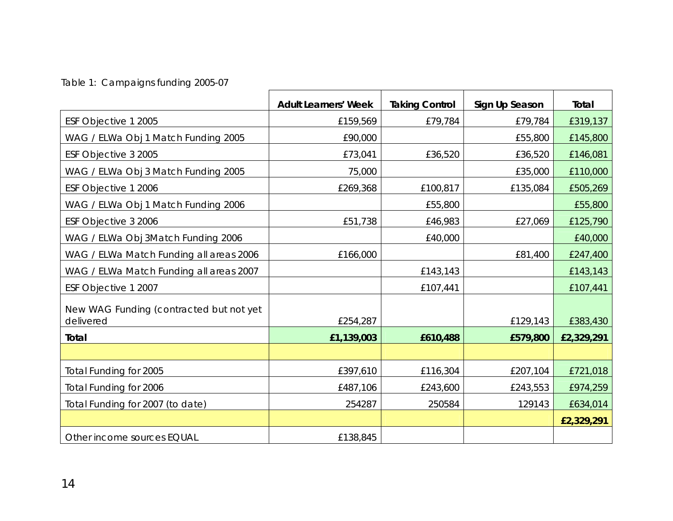# Table 1: Campaigns funding 2005-07

|                                                      | <b>Adult Learners' Week</b> | <b>Taking Control</b> | Sign Up Season | Total      |
|------------------------------------------------------|-----------------------------|-----------------------|----------------|------------|
| ESF Objective 1 2005                                 | £159,569                    | £79,784               | £79,784        | £319,137   |
| WAG / ELWa Obj 1 Match Funding 2005                  | £90,000                     |                       | £55,800        | £145,800   |
| ESF Objective 3 2005                                 | £73,041                     | £36,520               | £36,520        | £146,081   |
| WAG / ELWa Obj 3 Match Funding 2005                  | 75,000                      |                       | £35,000        | £110,000   |
| ESF Objective 1 2006                                 | £269,368                    | £100,817              | £135,084       | £505,269   |
| WAG / ELWa Obj 1 Match Funding 2006                  |                             | £55,800               |                | £55,800    |
| ESF Objective 3 2006                                 | £51,738                     | £46,983               | £27,069        | £125,790   |
| WAG / ELWa Obj 3Match Funding 2006                   |                             | £40,000               |                | £40,000    |
| WAG / ELWa Match Funding all areas 2006              | £166,000                    |                       | £81,400        | £247,400   |
| WAG / ELWa Match Funding all areas 2007              |                             | £143,143              |                | £143,143   |
| ESF Objective 1 2007                                 |                             | £107,441              |                | £107,441   |
| New WAG Funding (contracted but not yet<br>delivered | £254,287                    |                       | £129,143       | £383,430   |
| <b>Total</b>                                         | £1,139,003                  | £610,488              | £579,800       | £2,329,291 |
|                                                      |                             |                       |                |            |
| Total Funding for 2005                               | £397,610                    | £116,304              | £207,104       | £721,018   |
| Total Funding for 2006                               | £487,106                    | £243,600              | £243,553       | £974,259   |
| Total Funding for 2007 (to date)                     | 254287                      | 250584                | 129143         | £634,014   |
|                                                      |                             |                       |                | £2,329,291 |
| Other income sources EQUAL                           | £138,845                    |                       |                |            |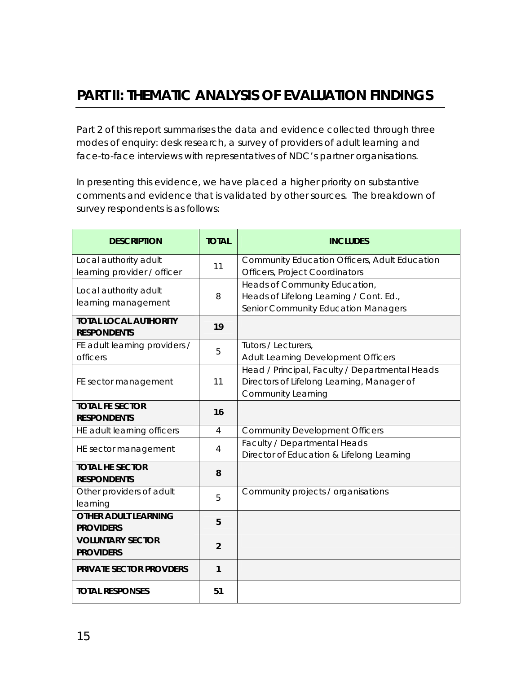<span id="page-16-0"></span>Part 2 of this report summarises the data and evidence collected through three modes of enquiry: desk research, a survey of providers of adult learning and face-to-face interviews with representatives of NDC's partner organisations.

In presenting this evidence, we have placed a higher priority on substantive comments and evidence that is validated by other sources. The breakdown of survey respondents is as follows:

| <b>DESCRIPTION</b>                                   | <b>TOTAL</b>   | <b>INCLUDES</b>                                                                                                           |
|------------------------------------------------------|----------------|---------------------------------------------------------------------------------------------------------------------------|
| Local authority adult<br>learning provider / officer | 11             | Community Education Officers, Adult Education<br><b>Officers, Project Coordinators</b>                                    |
| Local authority adult<br>learning management         | 8              | Heads of Community Education,<br>Heads of Lifelong Learning / Cont. Ed.,<br>Senior Community Education Managers           |
| <b>TOTAL LOCAL AUTHORITY</b><br><b>RESPONDENTS</b>   | 19             |                                                                                                                           |
| FE adult learning providers /<br>officers            | 5              | Tutors / Lecturers,<br>Adult Learning Development Officers                                                                |
| FE sector management                                 | 11             | Head / Principal, Faculty / Departmental Heads<br>Directors of Lifelong Learning, Manager of<br><b>Community Learning</b> |
| <b>TOTAL FE SECTOR</b><br><b>RESPONDENTS</b>         | 16             |                                                                                                                           |
| HE adult learning officers                           | $\overline{4}$ | <b>Community Development Officers</b>                                                                                     |
| HE sector management                                 | 4              | Faculty / Departmental Heads<br>Director of Education & Lifelong Learning                                                 |
| <b>TOTAL HE SECTOR</b><br><b>RESPONDENTS</b>         | 8              |                                                                                                                           |
| Other providers of adult<br>learning                 | 5              | Community projects / organisations                                                                                        |
| <b>OTHER ADULT LEARNING</b><br><b>PROVIDERS</b>      | 5              |                                                                                                                           |
| <b>VOLUNTARY SECTOR</b><br><b>PROVIDERS</b>          | $\overline{2}$ |                                                                                                                           |
| <b>PRIVATE SECTOR PROVDERS</b>                       | 1              |                                                                                                                           |
| <b>TOTAL RESPONSES</b>                               | 51             |                                                                                                                           |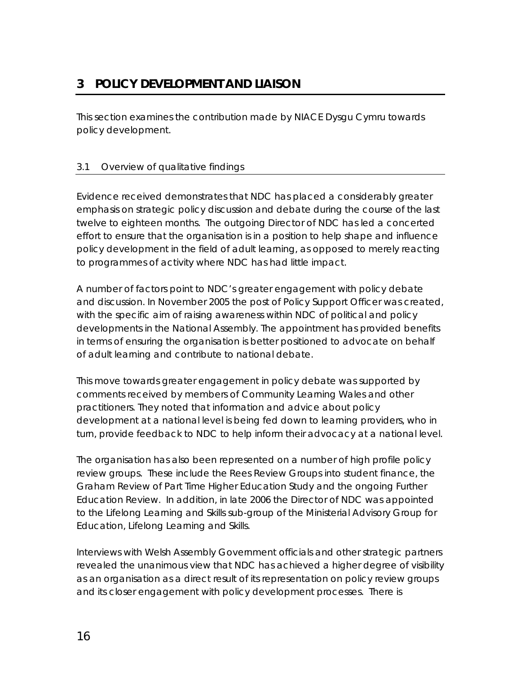<span id="page-17-0"></span>This section examines the contribution made by NIACE Dysgu Cymru towards policy development.

## 3.1 Overview of qualitative findings

Evidence received demonstrates that NDC has placed a considerably greater emphasis on strategic policy discussion and debate during the course of the last twelve to eighteen months. The outgoing Director of NDC has led a concerted effort to ensure that the organisation is in a position to help shape and influence policy development in the field of adult learning, as opposed to merely reacting to programmes of activity where NDC has had little impact.

A number of factors point to NDC's greater engagement with policy debate and discussion. In November 2005 the post of Policy Support Officer was created, with the specific aim of raising awareness within NDC of political and policy developments in the National Assembly. The appointment has provided benefits in terms of ensuring the organisation is better positioned to advocate on behalf of adult learning and contribute to national debate.

This move towards greater engagement in policy debate was supported by comments received by members of Community Learning Wales and other practitioners. They noted that information and advice about policy development at a national level is being fed down to learning providers, who in turn, provide feedback to NDC to help inform their advocacy at a national level.

The organisation has also been represented on a number of high profile policy review groups. These include the Rees Review Groups into student finance, the Graham Review of Part Time Higher Education Study and the ongoing Further Education Review. In addition, in late 2006 the Director of NDC was appointed to the Lifelong Learning and Skills sub-group of the Ministerial Advisory Group for Education, Lifelong Learning and Skills.

Interviews with Welsh Assembly Government officials and other strategic partners revealed the unanimous view that NDC has achieved a higher degree of visibility as an organisation as a direct result of its representation on policy review groups and its closer engagement with policy development processes. There is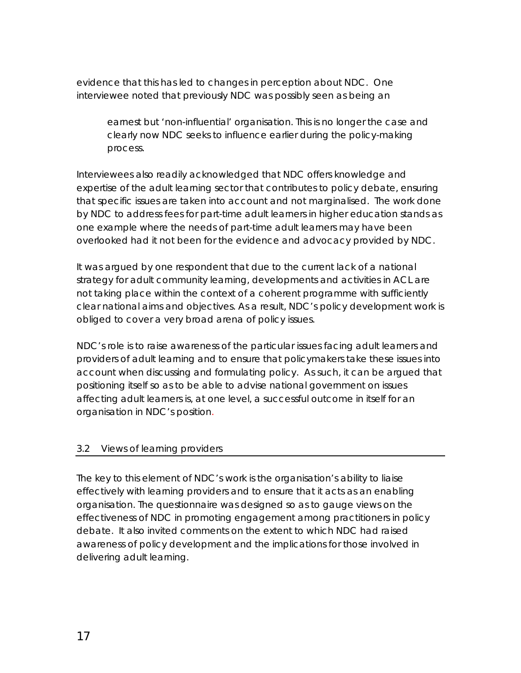<span id="page-18-0"></span>evidence that this has led to changes in perception about NDC. One interviewee noted that previously NDC was possibly seen as being an

*earnest but 'non-influential' organisation. This is no longer the case and clearly now NDC seeks to influence earlier during the policy-making process.* 

Interviewees also readily acknowledged that NDC offers knowledge and expertise of the adult learning sector that contributes to policy debate, ensuring that specific issues are taken into account and not marginalised. The work done by NDC to address fees for part-time adult learners in higher education stands as one example where the needs of part-time adult learners may have been overlooked had it not been for the evidence and advocacy provided by NDC.

It was argued by one respondent that due to the current lack of a national strategy for adult community learning, developments and activities in ACL are not taking place within the context of a coherent programme with sufficiently clear national aims and objectives. As a result, NDC's policy development work is obliged to cover a very broad arena of policy issues.

NDC's role is to raise awareness of the particular issues facing adult learners and providers of adult learning and to ensure that policymakers take these issues into account when discussing and formulating policy. As such, it can be argued that positioning itself so as to be able to advise national government on issues affecting adult learners is, at one level, a successful outcome in itself for an organisation in NDC's position.

### 3.2 Views of learning providers

The key to this element of NDC's work is the organisation's ability to liaise effectively with learning providers and to ensure that it acts as an enabling organisation. The questionnaire was designed so as to gauge views on the effectiveness of NDC in promoting engagement among practitioners in policy debate. It also invited comments on the extent to which NDC had raised awareness of policy development and the implications for those involved in delivering adult learning.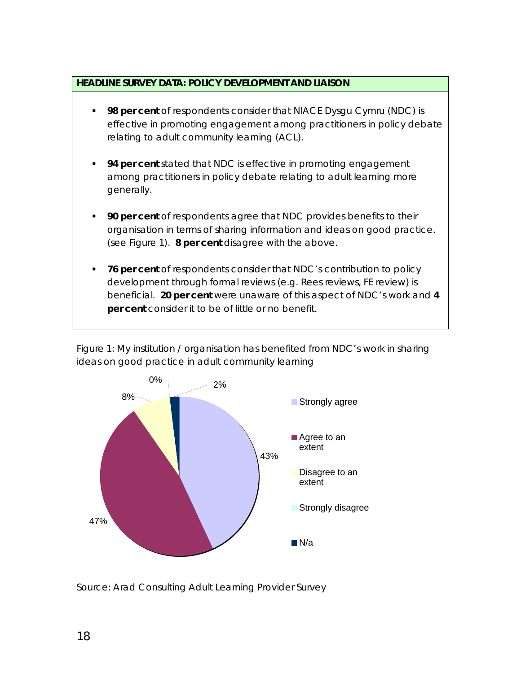#### **HEADLINE SURVEY DATA: POLICY DEVELOPMENT AND LIAISON**

- **98 per cent** of respondents consider that NIACE Dysgu Cymru (NDC) is effective in promoting engagement among practitioners in policy debate relating to adult community learning (ACL).
- **94 per cent** stated that NDC is effective in promoting engagement among practitioners in policy debate relating to adult learning more generally.
- **90 per cent** of respondents agree that NDC provides benefits to their organisation in terms of sharing information and ideas on good practice. (see Figure 1). **8 per cent** disagree with the above.
- **76 per cent** of respondents consider that NDC's contribution to policy development through formal reviews (e.g. Rees reviews, FE review) is beneficial. **20 per cent** were unaware of this aspect of NDC's work and **4 per cent** consider it to be of little or no benefit.





*Source: Arad Consulting Adult Learning Provider Survey*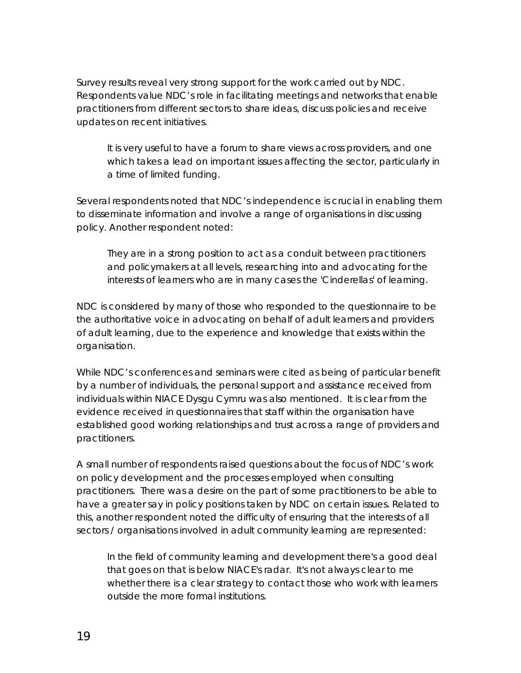Survey results reveal very strong support for the work carried out by NDC. Respondents value NDC's role in facilitating meetings and networks that enable practitioners from different sectors to share ideas, discuss policies and receive updates on recent initiatives.

*It is very useful to have a forum to share views across providers, and one which takes a lead on important issues affecting the sector, particularly in a time of limited funding.* 

Several respondents noted that NDC's independence is crucial in enabling them to disseminate information and involve a range of organisations in discussing policy. Another respondent noted:

*They are in a strong position to act as a conduit between practitioners and policymakers at all levels, researching into and advocating for the interests of learners who are in many cases the 'Cinderellas' of learning.* 

NDC is considered by many of those who responded to the questionnaire to be the authoritative voice in advocating on behalf of adult learners and providers of adult learning, due to the experience and knowledge that exists within the organisation.

While NDC's conferences and seminars were cited as being of particular benefit by a number of individuals, the personal support and assistance received from individuals within NIACE Dysgu Cymru was also mentioned. It is clear from the evidence received in questionnaires that staff within the organisation have established good working relationships and trust across a range of providers and practitioners.

A small number of respondents raised questions about the focus of NDC's work on policy development and the processes employed when consulting practitioners. There was a desire on the part of some practitioners to be able to have a greater say in policy positions taken by NDC on certain issues. Related to this, another respondent noted the difficulty of ensuring that the interests of all sectors / organisations involved in adult community learning are represented:

*In the field of community learning and development there's a good deal that goes on that is below NIACE's radar. It's not always clear to me whether there is a clear strategy to contact those who work with learners outside the more formal institutions.*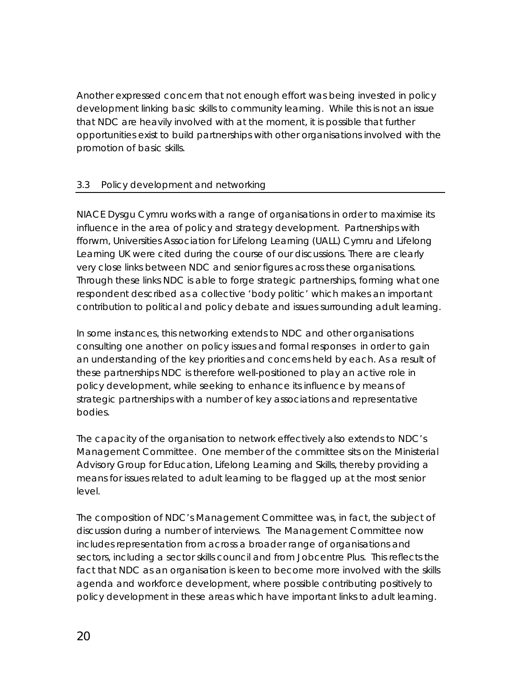<span id="page-21-0"></span>Another expressed concern that not enough effort was being invested in policy development linking basic skills to community learning. While this is not an issue that NDC are heavily involved with at the moment, it is possible that further opportunities exist to build partnerships with other organisations involved with the promotion of basic skills.

### 3.3 Policy development and networking

NIACE Dysgu Cymru works with a range of organisations in order to maximise its influence in the area of policy and strategy development. Partnerships with *fforwm*, Universities Association for Lifelong Learning (UALL) Cymru and Lifelong Learning UK were cited during the course of our discussions. There are clearly very close links between NDC and senior figures across these organisations. Through these links NDC is able to forge strategic partnerships, forming what one respondent described as a collective 'body politic' which makes an important contribution to political and policy debate and issues surrounding adult learning.

In some instances, this networking extends to NDC and other organisations consulting one another on policy issues and formal responses in order to gain an understanding of the key priorities and concerns held by each. As a result of these partnerships NDC is therefore well-positioned to play an active role in policy development, while seeking to enhance its influence by means of strategic partnerships with a number of key associations and representative bodies.

The capacity of the organisation to network effectively also extends to NDC's Management Committee. One member of the committee sits on the Ministerial Advisory Group for Education, Lifelong Learning and Skills, thereby providing a means for issues related to adult learning to be flagged up at the most senior level.

The composition of NDC's Management Committee was, in fact, the subject of discussion during a number of interviews. The Management Committee now includes representation from across a broader range of organisations and sectors, including a sector skills council and from Jobcentre Plus. This reflects the fact that NDC as an organisation is keen to become more involved with the skills agenda and workforce development, where possible contributing positively to policy development in these areas which have important links to adult learning.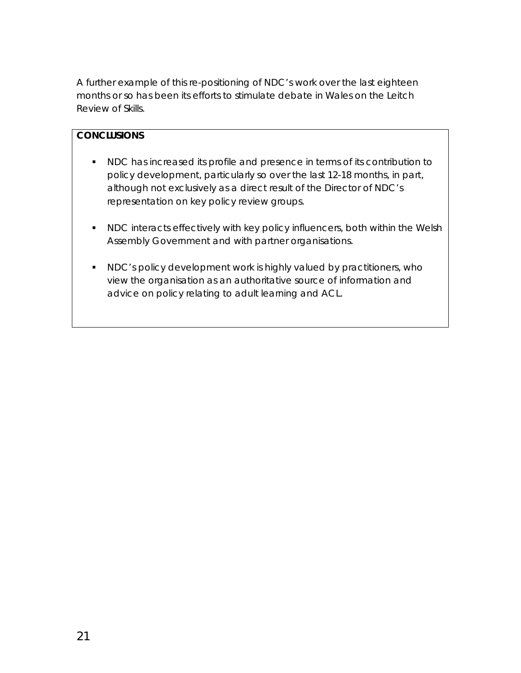A further example of this re-positioning of NDC's work over the last eighteen months or so has been its efforts to stimulate debate in Wales on the Leitch Review of Skills.

#### **CONCLUSIONS**

- NDC has increased its profile and presence in terms of its contribution to policy development, particularly so over the last 12-18 months, in part, although not exclusively as a direct result of the Director of NDC's representation on key policy review groups.
- **NDC** interacts effectively with key policy influencers, both within the Welsh Assembly Government and with partner organisations.
- NDC's policy development work is highly valued by practitioners, who view the organisation as an authoritative source of information and advice on policy relating to adult learning and ACL.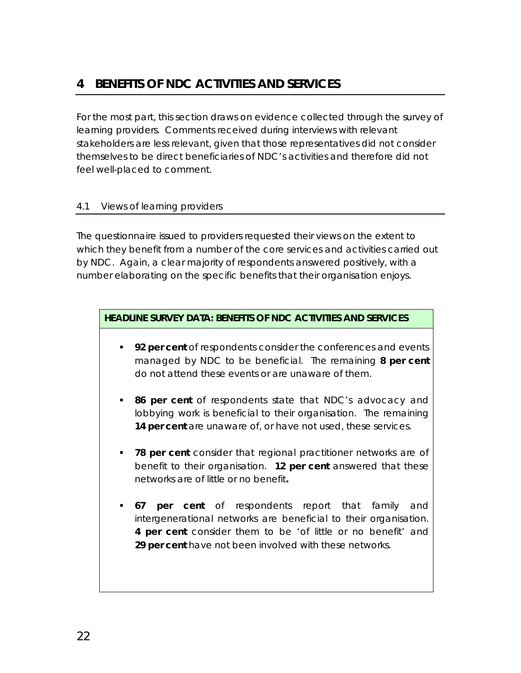## <span id="page-23-0"></span>**4 BENEFITS OF NDC ACTIVITIES AND SERVICES**

For the most part, this section draws on evidence collected through the survey of learning providers. Comments received during interviews with relevant stakeholders are less relevant, given that those representatives did not consider themselves to be direct beneficiaries of NDC's activities and therefore did not feel well-placed to comment.

#### 4.1 Views of learning providers

The questionnaire issued to providers requested their views on the extent to which they benefit from a number of the core services and activities carried out by NDC. Again, a clear majority of respondents answered positively, with a number elaborating on the specific benefits that their organisation enjoys.

#### **HEADLINE SURVEY DATA: BENEFITS OF NDC ACTIVITIES AND SERVICES**

- **92 per cent** of respondents consider the conferences and events managed by NDC to be beneficial. The remaining **8 per cent** do not attend these events or are unaware of them.
- **86 per cent** of respondents state that NDC's advocacy and lobbying work is beneficial to their organisation. The remaining **14 per cent** are unaware of, or have not used, these services.
- **78 per cent** consider that regional practitioner networks are of benefit to their organisation. **12 per cent** answered that these networks are of little or no benefit**.**
- **67 per cent** of respondents report that family and intergenerational networks are beneficial to their organisation. **4 per cent** consider them to be 'of little or no benefit' and **29 per cent** have not been involved with these networks.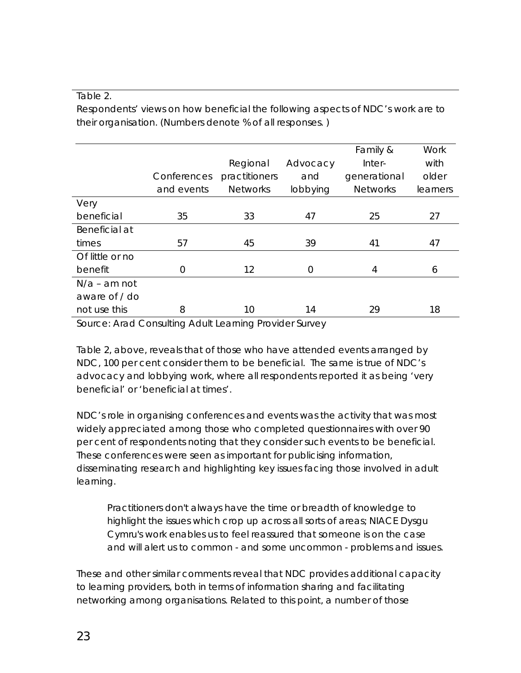#### Table 2.

Respondents' views on how beneficial the following aspects of NDC's work are to their organisation. (Numbers denote % of all responses. )

|                 |             |                 |          | Family &        | <b>Work</b> |
|-----------------|-------------|-----------------|----------|-----------------|-------------|
|                 |             | Regional        | Advocacy | Inter-          | with        |
|                 | Conferences | practitioners   | and      | generational    | older       |
|                 | and events  | <b>Networks</b> | lobbying | <b>Networks</b> | learners    |
| Very            |             |                 |          |                 |             |
| beneficial      | 35          | 33              | 47       | 25              | 27          |
| Beneficial at   |             |                 |          |                 |             |
| times           | 57          | 45              | 39       | 41              | 47          |
| Of little or no |             |                 |          |                 |             |
| benefit         | 0           | 12              | $\Omega$ | 4               | 6           |
| $N/a$ – am not  |             |                 |          |                 |             |
| aware of / do   |             |                 |          |                 |             |
| not use this    | 8           | 10              | 14       | 29              | 18          |

*Source: Arad Consulting Adult Learning Provider Survey* 

Table 2, above, reveals that of those who have attended events arranged by NDC, 100 per cent consider them to be beneficial. The same is true of NDC's advocacy and lobbying work, where all respondents reported it as being 'very beneficial' or 'beneficial at times'.

NDC's role in organising conferences and events was the activity that was most widely appreciated among those who completed questionnaires with over 90 per cent of respondents noting that they consider such events to be beneficial. These conferences were seen as important for publicising information, disseminating research and highlighting key issues facing those involved in adult learning.

*Practitioners don't always have the time or breadth of knowledge to highlight the issues which crop up across all sorts of areas; NIACE Dysgu Cymru's work enables us to feel reassured that someone is on the case and will alert us to common - and some uncommon - problems and issues.* 

These and other similar comments reveal that NDC provides additional capacity to learning providers, both in terms of information sharing and facilitating networking among organisations. Related to this point, a number of those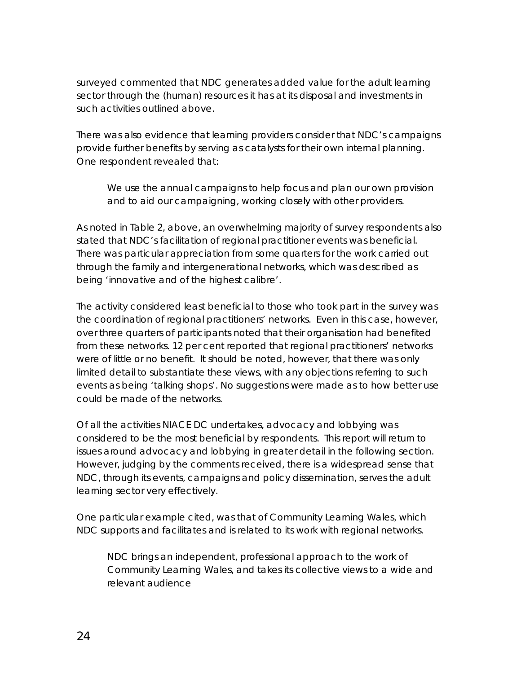surveyed commented that NDC generates added value for the adult learning sector through the (human) resources it has at its disposal and investments in such activities outlined above.

There was also evidence that learning providers consider that NDC's campaigns provide further benefits by serving as catalysts for their own internal planning. One respondent revealed that:

*We use the annual campaigns to help focus and plan our own provision and to aid our campaigning, working closely with other providers.* 

As noted in Table 2, above, an overwhelming majority of survey respondents also stated that NDC's facilitation of regional practitioner events was beneficial. There was particular appreciation from some quarters for the work carried out through the family and intergenerational networks, which was described as being 'innovative and of the highest calibre'.

The activity considered least beneficial to those who took part in the survey was the coordination of regional practitioners' networks. Even in this case, however, over three quarters of participants noted that their organisation had benefited from these networks. 12 per cent reported that regional practitioners' networks were of little or no benefit. It should be noted, however, that there was only limited detail to substantiate these views, with any objections referring to such events as being 'talking shops'. No suggestions were made as to how better use could be made of the networks.

Of all the activities NIACE DC undertakes, advocacy and lobbying was considered to be the most beneficial by respondents. This report will return to issues around advocacy and lobbying in greater detail in the following section. However, judging by the comments received, there is a widespread sense that NDC, through its events, campaigns and policy dissemination, serves the adult learning sector very effectively.

One particular example cited, was that of Community Learning Wales, which NDC supports and facilitates and is related to its work with regional networks.

*NDC brings an independent, professional approach to the work of Community Learning Wales, and takes its collective views to a wide and relevant audience*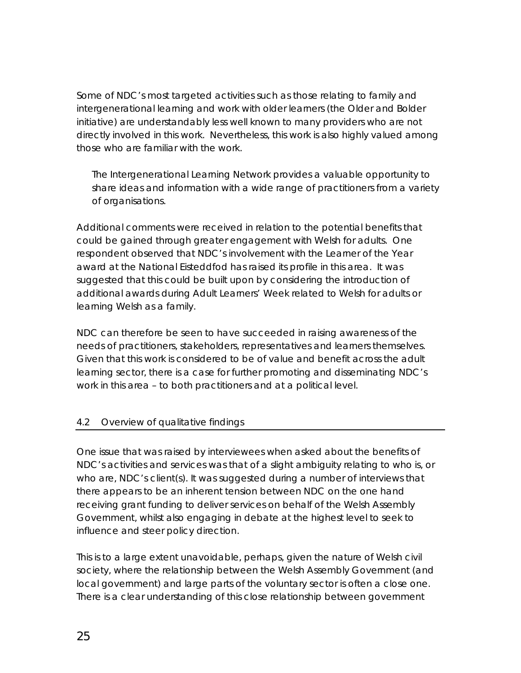<span id="page-26-0"></span>Some of NDC's most targeted activities such as those relating to family and intergenerational learning and work with older learners (the Older and Bolder initiative) are understandably less well known to many providers who are not directly involved in this work. Nevertheless, this work is also highly valued among those who are familiar with the work.

*The Intergenerational Learning Network provides a valuable opportunity to share ideas and information with a wide range of practitioners from a variety of organisations.* 

Additional comments were received in relation to the potential benefits that could be gained through greater engagement with Welsh for adults. One respondent observed that NDC's involvement with the Learner of the Year award at the National Eisteddfod has raised its profile in this area. It was suggested that this could be built upon by considering the introduction of additional awards during Adult Learners' Week related to Welsh for adults or learning Welsh as a family.

NDC can therefore be seen to have succeeded in raising awareness of the needs of practitioners, stakeholders, representatives and learners themselves. Given that this work is considered to be of value and benefit across the adult learning sector, there is a case for further promoting and disseminating NDC's work in this area – to both practitioners and at a political level.

### 4.2 Overview of qualitative findings

One issue that was raised by interviewees when asked about the benefits of NDC's activities and services was that of a slight ambiguity relating to who is, or who are, NDC's client(s). It was suggested during a number of interviews that there appears to be an inherent tension between NDC on the one hand receiving grant funding to deliver services on behalf of the Welsh Assembly Government, whilst also engaging in debate at the highest level to seek to influence and steer policy direction.

This is to a large extent unavoidable, perhaps, given the nature of Welsh civil society, where the relationship between the Welsh Assembly Government (and local government) and large parts of the voluntary sector is often a close one. There is a clear understanding of this close relationship between government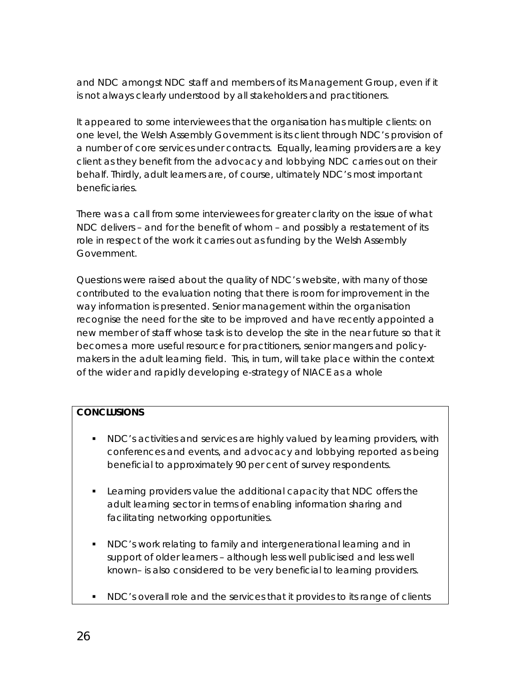and NDC amongst NDC staff and members of its Management Group, even if it is not always clearly understood by all stakeholders and practitioners.

It appeared to some interviewees that the organisation has multiple clients: on one level, the Welsh Assembly Government is its client through NDC's provision of a number of core services under contracts. Equally, learning providers are a key client as they benefit from the advocacy and lobbying NDC carries out on their behalf. Thirdly, adult learners are, of course, ultimately NDC's most important beneficiaries.

There was a call from some interviewees for greater clarity on the issue of what NDC delivers – and for the benefit of whom – and possibly a restatement of its role in respect of the work it carries out as funding by the Welsh Assembly Government.

Questions were raised about the quality of NDC's website, with many of those contributed to the evaluation noting that there is room for improvement in the way information is presented. Senior management within the organisation recognise the need for the site to be improved and have recently appointed a new member of staff whose task is to develop the site in the near future so that it becomes a more useful resource for practitioners, senior mangers and policymakers in the adult learning field. This, in turn, will take place within the context of the wider and rapidly developing e-strategy of NIACE as a whole

#### **CONCLUSIONS**

- **NDC's activities and services are highly valued by learning providers, with** conferences and events, and advocacy and lobbying reported as being beneficial to approximately 90 per cent of survey respondents.
- **EXECT** Learning providers value the additional capacity that NDC offers the adult learning sector in terms of enabling information sharing and facilitating networking opportunities.
- NDC's work relating to family and intergenerational learning and in support of older learners – although less well publicised and less well known– is also considered to be very beneficial to learning providers.
- NDC's overall role and the services that it provides to its range of clients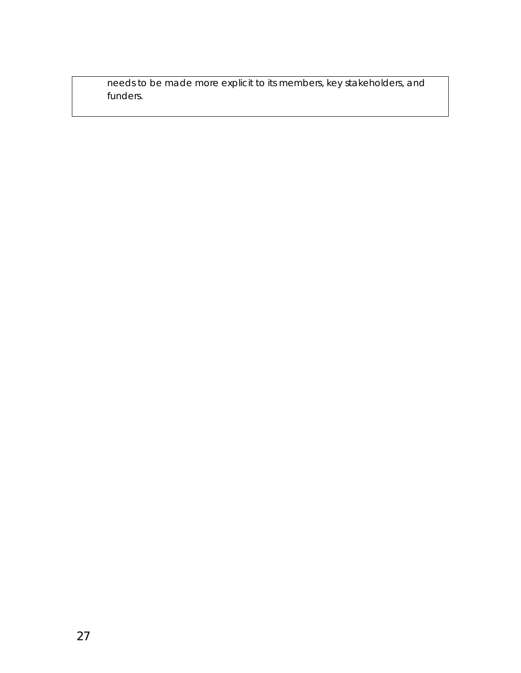needs to be made more explicit to its members, key stakeholders, and funders.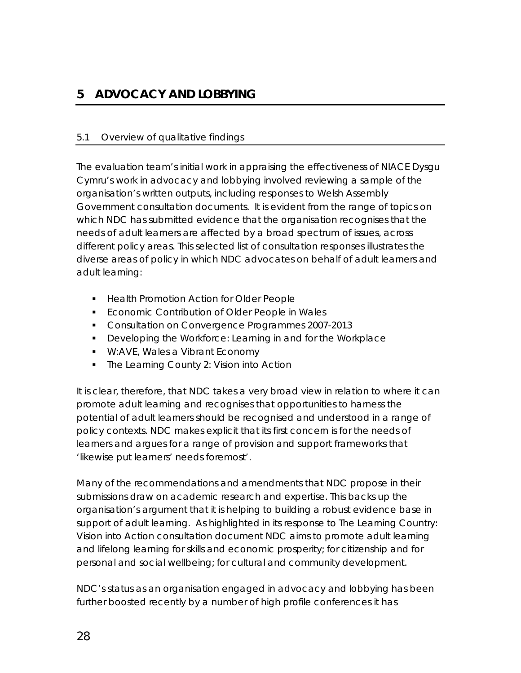## <span id="page-29-0"></span>**5 ADVOCACY AND LOBBYING**

#### 5.1 Overview of qualitative findings

The evaluation team's initial work in appraising the effectiveness of NIACE Dysgu Cymru's work in advocacy and lobbying involved reviewing a sample of the organisation's written outputs, including responses to Welsh Assembly Government consultation documents. It is evident from the range of topics on which NDC has submitted evidence that the organisation recognises that the needs of adult learners are affected by a broad spectrum of issues, across different policy areas. This selected list of consultation responses illustrates the diverse areas of policy in which NDC advocates on behalf of adult learners and adult learning:

- **Health Promotion Action for Older People**
- **Economic Contribution of Older People in Wales**
- **Consultation on Convergence Programmes 2007-2013**
- **Developing the Workforce: Learning in and for the Workplace**
- **W:AVE, Wales a Vibrant Economy**
- The Learning County 2: Vision into Action

It is clear, therefore, that NDC takes a very broad view in relation to where it can promote adult learning and recognises that opportunities to harness the potential of adult learners should be recognised and understood in a range of policy contexts. NDC makes explicit that its first concern is for the needs of learners and argues for a range of provision and support frameworks that 'likewise put learners' needs foremost'.

Many of the recommendations and amendments that NDC propose in their submissions draw on academic research and expertise. This backs up the organisation's argument that it is helping to building a robust evidence base in support of adult learning. As highlighted in its response to *The Learning Country: Vision into* Action consultation document NDC aims to promote adult learning and lifelong learning for skills and economic prosperity; for citizenship and for personal and social wellbeing; for cultural and community development.

NDC's status as an organisation engaged in advocacy and lobbying has been further boosted recently by a number of high profile conferences it has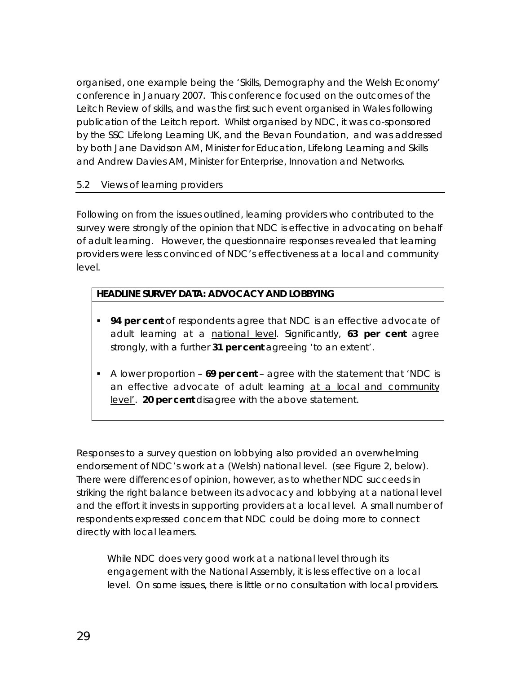<span id="page-30-0"></span>organised, one example being the 'Skills, Demography and the Welsh Economy' conference in January 2007. This conference focused on the outcomes of the Leitch Review of skills, and was the first such event organised in Wales following publication of the Leitch report. Whilst organised by NDC, it was co-sponsored by the SSC Lifelong Learning UK, and the Bevan Foundation, and was addressed by both Jane Davidson AM, Minister for Education, Lifelong Learning and Skills and Andrew Davies AM, Minister for Enterprise, Innovation and Networks.

#### 5.2 Views of learning providers

Following on from the issues outlined, learning providers who contributed to the survey were strongly of the opinion that NDC is effective in advocating on behalf of adult learning. However, the questionnaire responses revealed that learning providers were less convinced of NDC's effectiveness at a local and community level.

### **HEADLINE SURVEY DATA: ADVOCACY AND LOBBYING**

- **94 per cent** of respondents agree that NDC is an effective advocate of adult learning at a national level. Significantly, **63 per cent** agree strongly, with a further **31 per cent** agreeing 'to an extent'.
- A lower proportion **69 per cent** agree with the statement that 'NDC is an effective advocate of adult learning at a local and community level'. **20 per cent** disagree with the above statement.

Responses to a survey question on lobbying also provided an overwhelming endorsement of NDC's work at a (Welsh) national level. (see Figure 2, below). There were differences of opinion, however, as to whether NDC succeeds in striking the right balance between its advocacy and lobbying at a national level and the effort it invests in supporting providers at a local level. A small number of respondents expressed concern that NDC could be doing more to connect directly with local learners.

*While NDC does very good work at a national level through its engagement with the National Assembly, it is less effective on a local*  level. On some issues, there is little or no consultation with local providers.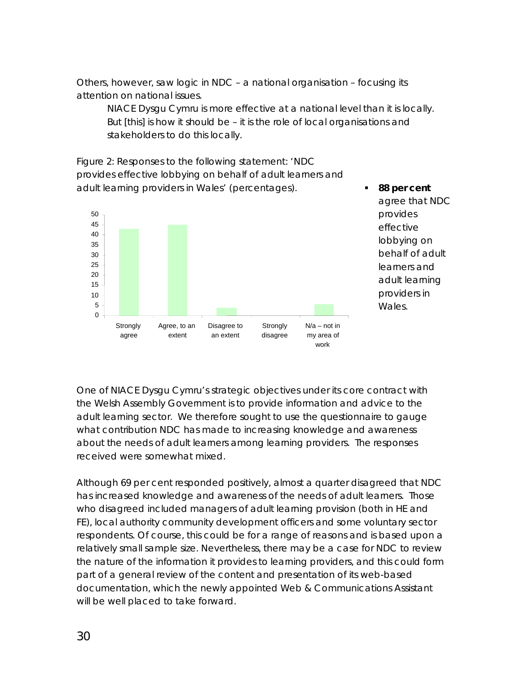Others, however, saw logic in NDC – a national organisation – focusing its attention on national issues.

*NIACE Dysgu Cymru is more effective at a national level than it is locally. But [this] is how it should be – it is the role of local organisations and stakeholders to do this locally.* 

*Figure 2: Responses to the following statement: 'NDC provides effective lobbying on behalf of adult learners and adult learning providers in Wales' (percentages).*  **88 per cent**



agree that NDC provides effective lobbying on behalf of adult learners and adult learning providers in Wales.

One of NIACE Dysgu Cymru's strategic objectives under its core contract with the Welsh Assembly Government is to provide information and advice to the adult learning sector. We therefore sought to use the questionnaire to gauge what contribution NDC has made to increasing knowledge and awareness about the needs of adult learners among learning providers. The responses received were somewhat mixed.

Although 69 per cent responded positively, almost a quarter disagreed that NDC has increased knowledge and awareness of the needs of adult learners. Those who disagreed included managers of adult learning provision (both in HE and FE), local authority community development officers and some voluntary sector respondents. Of course, this could be for a range of reasons and is based upon a relatively small sample size. Nevertheless, there may be a case for NDC to review the nature of the information it provides to learning providers, and this could form part of a general review of the content and presentation of its web-based documentation, which the newly appointed Web & Communications Assistant will be well placed to take forward.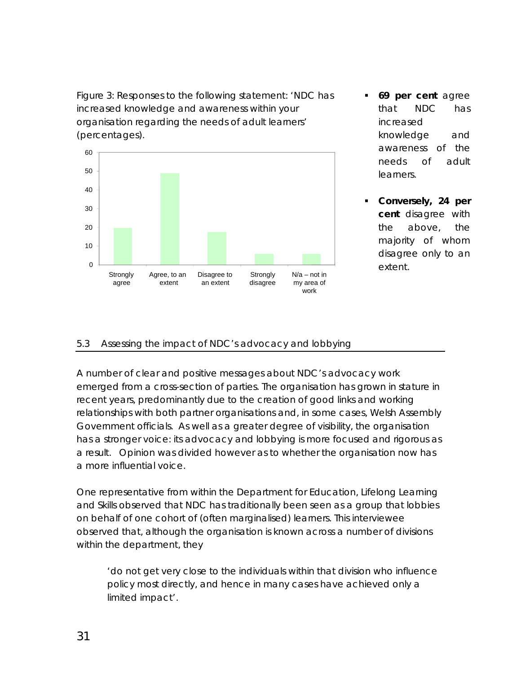<span id="page-32-0"></span>*Figure 3: Responses to the following statement: 'NDC has increased knowledge and awareness within your organisation regarding the needs of adult learners' (percentages).* 



- **69 per cent** agree that NDC has increased knowledge and awareness of the needs of adult **learners**
- **Conversely, 24 per cent** disagree with the above, the majority of whom disagree only to an

### 5.3 Assessing the impact of NDC's advocacy and lobbying

A number of clear and positive messages about NDC's advocacy work emerged from a cross-section of parties. The organisation has grown in stature in recent years, predominantly due to the creation of good links and working relationships with both partner organisations and, in some cases, Welsh Assembly Government officials. As well as a greater degree of visibility, the organisation has a stronger voice: its advocacy and lobbying is more focused and rigorous as a result. Opinion was divided however as to whether the organisation now has a more influential voice.

One representative from within the Department for Education, Lifelong Learning and Skills observed that NDC has traditionally been seen as a group that lobbies on behalf of one cohort of (often marginalised) learners. This interviewee observed that, although the organisation is known across a number of divisions within the department, they

*'do not get very close to the individuals within that division who influence policy most directly, and hence in many cases have achieved only a limited impact'*.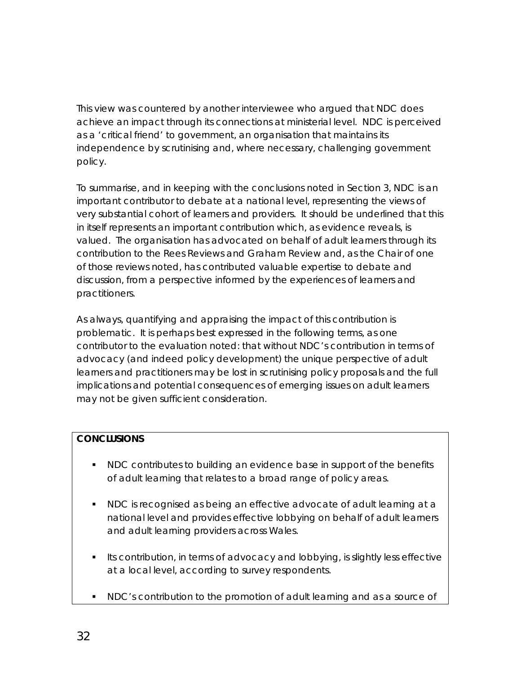This view was countered by another interviewee who argued that NDC does achieve an impact through its connections at ministerial level. NDC is perceived as a 'critical friend' to government, an organisation that maintains its independence by scrutinising and, where necessary, challenging government policy.

To summarise, and in keeping with the conclusions noted in Section 3, NDC is an important contributor to debate at a national level, representing the views of very substantial cohort of learners and providers. It should be underlined that this in itself represents an important contribution which, as evidence reveals, is valued. The organisation has advocated on behalf of adult learners through its contribution to the Rees Reviews and Graham Review and, as the Chair of one of those reviews noted, has contributed valuable expertise to debate and discussion, from a perspective informed by the experiences of learners and practitioners.

As always, quantifying and appraising the impact of this contribution is problematic. It is perhaps best expressed in the following terms, as one contributor to the evaluation noted: that without NDC's contribution in terms of advocacy (and indeed policy development) the unique perspective of adult learners and practitioners may be lost in scrutinising policy proposals and the full implications and potential consequences of emerging issues on adult learners may not be given sufficient consideration.

### **CONCLUSIONS**

- NDC contributes to building an evidence base in support of the benefits of adult learning that relates to a broad range of policy areas.
- NDC is recognised as being an effective advocate of adult learning at a national level and provides effective lobbying on behalf of adult learners and adult learning providers across Wales.
- Its contribution, in terms of advocacy and lobbying, is slightly less effective at a local level, according to survey respondents.
- NDC's contribution to the promotion of adult learning and as a source of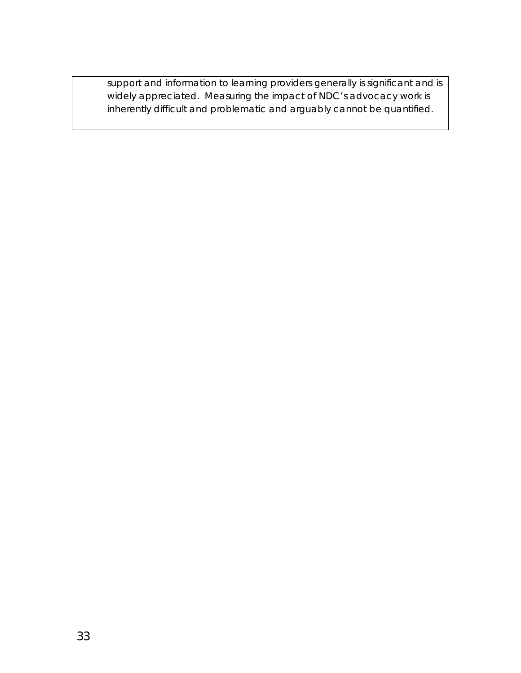support and information to learning providers generally is significant and is widely appreciated. Measuring the impact of NDC's advocacy work is inherently difficult and problematic and arguably cannot be quantified.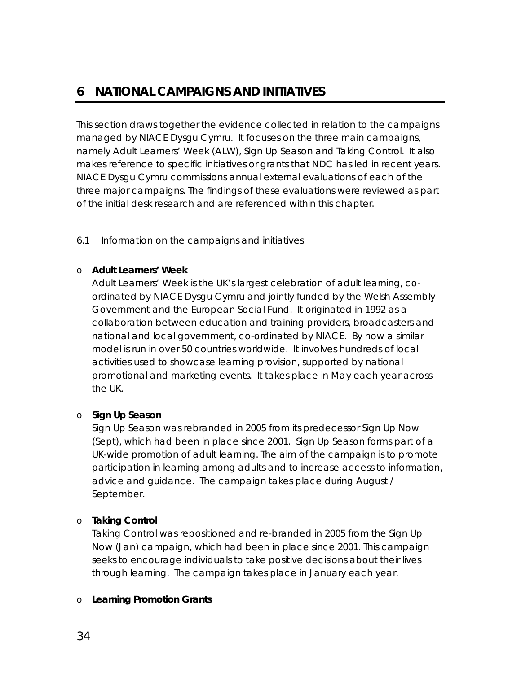## <span id="page-35-0"></span>**6 NATIONAL CAMPAIGNS AND INITIATIVES**

This section draws together the evidence collected in relation to the campaigns managed by NIACE Dysgu Cymru. It focuses on the three main campaigns, namely Adult Learners' Week (ALW), Sign Up Season and Taking Control. It also makes reference to specific initiatives or grants that NDC has led in recent years. NIACE Dysgu Cymru commissions annual external evaluations of each of the three major campaigns. The findings of these evaluations were reviewed as part of the initial desk research and are referenced within this chapter.

#### 6.1 Information on the campaigns and initiatives

#### o **Adult Learners' Week**

Adult Learners' Week is the UK's largest celebration of adult learning, coordinated by NIACE Dysgu Cymru and jointly funded by the Welsh Assembly Government and the European Social Fund. It originated in 1992 as a collaboration between education and training providers, broadcasters and national and local government, co-ordinated by NIACE. By now a similar model is run in over 50 countries worldwide. It involves hundreds of local activities used to showcase learning provision, supported by national promotional and marketing events. It takes place in May each year across the UK.

#### o **Sign Up Season**

Sign Up Season was rebranded in 2005 from its predecessor Sign Up Now (Sept), which had been in place since 2001. Sign Up Season forms part of a UK-wide promotion of adult learning. The aim of the campaign is to promote participation in learning among adults and to increase access to information, advice and guidance. The campaign takes place during August / September.

#### o **Taking Control**

Taking Control was repositioned and re-branded in 2005 from the Sign Up Now (Jan) campaign, which had been in place since 2001. This campaign seeks to encourage individuals to take positive decisions about their lives through learning. The campaign takes place in January each year.

#### o **Learning Promotion Grants**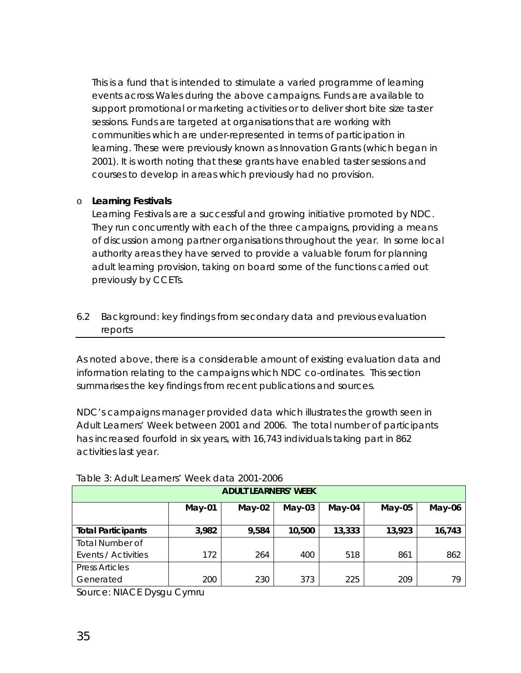<span id="page-36-0"></span>This is a fund that is intended to stimulate a varied programme of learning events across Wales during the above campaigns. Funds are available to support promotional or marketing activities or to deliver short bite size taster sessions. Funds are targeted at organisations that are working with communities which are under-represented in terms of participation in learning. These were previously known as Innovation Grants (which began in 2001). It is worth noting that these grants have enabled taster sessions and courses to develop in areas which previously had no provision.

#### o **Learning Festivals**

Learning Festivals are a successful and growing initiative promoted by NDC. They run concurrently with each of the three campaigns, providing a means of discussion among partner organisations throughout the year. In some local authority areas they have served to provide a valuable forum for planning adult learning provision, taking on board some of the functions carried out previously by CCETs.

6.2 Background: key findings from secondary data and previous evaluation reports

As noted above, there is a considerable amount of existing evaluation data and information relating to the campaigns which NDC co-ordinates. This section summarises the key findings from recent publications and sources.

NDC's campaigns manager provided data which illustrates the growth seen in Adult Learners' Week between 2001 and 2006. The total number of participants has increased fourfold in six years, with 16,743 individuals taking part in 862 activities last year.

| <b>ADULT LEARNERS' WEEK</b>                                        |       |       |        |        |        |        |
|--------------------------------------------------------------------|-------|-------|--------|--------|--------|--------|
| $May-02$<br>$May-04$<br>$May-01$<br>$May-03$<br>$May-05$<br>May-06 |       |       |        |        |        |        |
| <b>Total Participants</b>                                          | 3,982 | 9,584 | 10,500 | 13,333 | 13,923 | 16,743 |
| <b>Total Number of</b>                                             |       |       |        |        |        |        |
| Events / Activities                                                | 172   | 264   | 400    | 518    | 861    | 862    |
| <b>Press Articles</b>                                              |       |       |        |        |        |        |
| Generated                                                          | 200   | 230   | 373    | 225    | 209    | 79     |

#### Table 3: Adult Learners' Week data 2001-2006

*Source: NIACE Dysgu Cymru*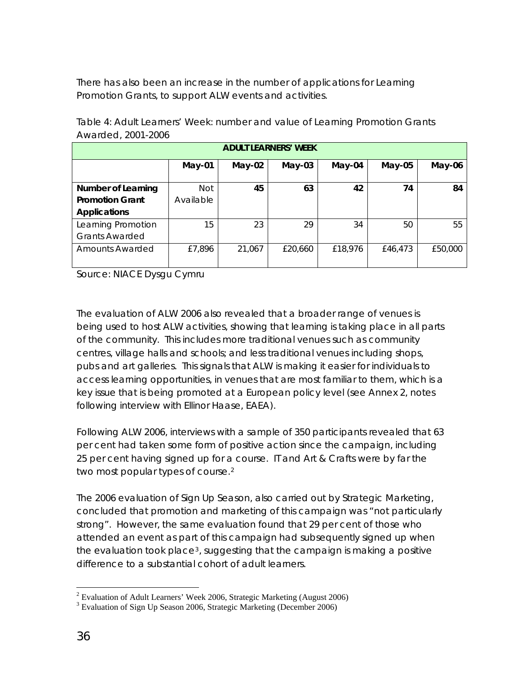<span id="page-37-0"></span>There has also been an increase in the number of applications for Learning Promotion Grants, to support ALW events and activities.

| <b>ADULT LEARNERS' WEEK</b>                                        |            |        |         |         |         |         |  |
|--------------------------------------------------------------------|------------|--------|---------|---------|---------|---------|--|
| $May-04$<br>$May-05$<br>$May-03$<br>$May-01$<br>$May-02$<br>May-06 |            |        |         |         |         |         |  |
| Number of Learning                                                 | <b>Not</b> | 45     | 63      | 42      | 74      | 84      |  |
| <b>Promotion Grant</b>                                             | Available  |        |         |         |         |         |  |
| <b>Applications</b>                                                |            |        |         |         |         |         |  |
| Learning Promotion                                                 | 15         | 23     | 29      | 34      | 50      | 55      |  |
| <b>Grants Awarded</b>                                              |            |        |         |         |         |         |  |
| Amounts Awarded                                                    | £7,896     | 21,067 | £20,660 | £18,976 | £46,473 | £50,000 |  |

Table 4: Adult Learners' Week: number and value of Learning Promotion Grants Awarded, 2001-2006

*Source: NIACE Dysgu Cymru* 

The evaluation of ALW 2006 also revealed that a broader range of venues is being used to host ALW activities, showing that learning is taking place in all parts of the community. This includes more traditional venues such as community centres, village halls and schools; and less traditional venues including shops, pubs and art galleries. This signals that ALW is making it easier for individuals to access learning opportunities, in venues that are most familiar to them, which is a key issue that is being promoted at a European policy level (see Annex 2, notes following interview with Ellinor Haase, EAEA).

Following ALW 2006, interviews with a sample of 350 participants revealed that 63 per cent had taken some form of positive action since the campaign, including 25 per cent having signed up for a course. IT and Art & Crafts were by far the two most popular types of course.[2](#page-37-0)

The 2006 evaluation of Sign Up Season, also carried out by Strategic Marketing, concluded that promotion and marketing of this campaign was "not particularly strong". However, the same evaluation found that 29 per cent of those who attended an event as part of this campaign had subsequently signed up when the evaluation took place<sup>[3](#page-37-0)</sup>, suggesting that the campaign is making a positive difference to a substantial cohort of adult learners.

 2 Evaluation of Adult Learners' Week 2006, Strategic Marketing (August 2006)

<sup>&</sup>lt;sup>3</sup> Evaluation of Sign Up Season 2006, Strategic Marketing (December 2006)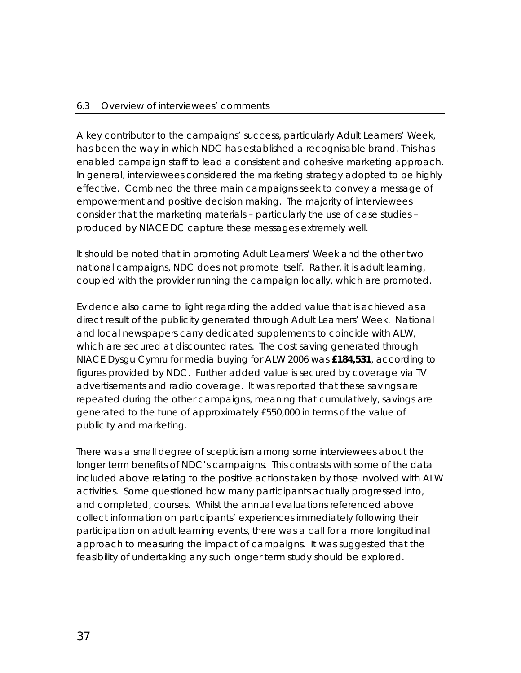#### <span id="page-38-0"></span>6.3 Overview of interviewees' comments

A key contributor to the campaigns' success, particularly Adult Learners' Week, has been the way in which NDC has established a recognisable brand. This has enabled campaign staff to lead a consistent and cohesive marketing approach. In general, interviewees considered the marketing strategy adopted to be highly effective. Combined the three main campaigns seek to convey a message of empowerment and positive decision making. The majority of interviewees consider that the marketing materials – particularly the use of case studies – produced by NIACE DC capture these messages extremely well.

It should be noted that in promoting Adult Learners' Week and the other two national campaigns, NDC does not promote itself. Rather, it is adult learning, coupled with the provider running the campaign locally, which are promoted.

Evidence also came to light regarding the added value that is achieved as a direct result of the publicity generated through Adult Learners' Week. National and local newspapers carry dedicated supplements to coincide with ALW, which are secured at discounted rates. The cost saving generated through NIACE Dysgu Cymru for media buying for ALW 2006 was **£184,531**, according to figures provided by NDC. Further added value is secured by coverage via TV advertisements and radio coverage. It was reported that these savings are repeated during the other campaigns, meaning that cumulatively, savings are generated to the tune of approximately £550,000 in terms of the value of publicity and marketing.

There was a small degree of scepticism among some interviewees about the longer term benefits of NDC's campaigns. This contrasts with some of the data included above relating to the positive actions taken by those involved with ALW activities. Some questioned how many participants actually progressed into, and completed, courses. Whilst the annual evaluations referenced above collect information on participants' experiences immediately following their participation on adult learning events, there was a call for a more longitudinal approach to measuring the impact of campaigns. It was suggested that the feasibility of undertaking any such longer term study should be explored.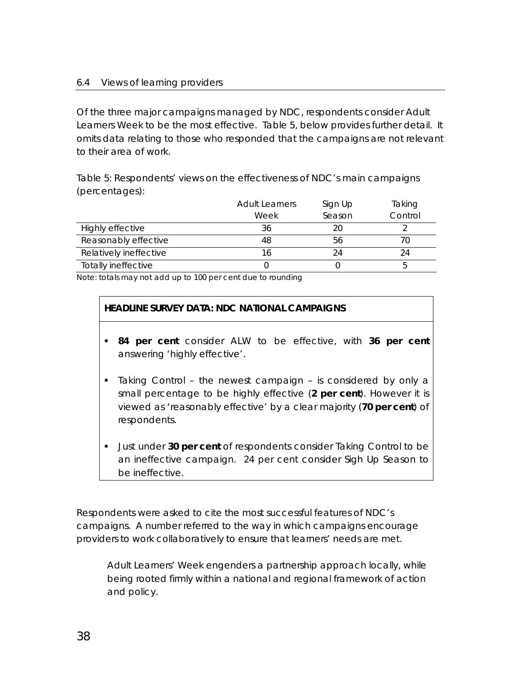#### <span id="page-39-0"></span>6.4 Views of learning providers

Of the three major campaigns managed by NDC, respondents consider Adult Learners Week to be the most effective. Table 5, below provides further detail. It omits data relating to those who responded that the campaigns are not relevant to their area of work.

Table 5: Respondents' views on the effectiveness of NDC's main campaigns (percentages):

|                        | <b>Adult Learners</b> | Sign Up | Taking  |
|------------------------|-----------------------|---------|---------|
|                        | Week                  | Season  | Control |
| Highly effective       | 36                    | 20      |         |
| Reasonably effective   | 48                    | 56      |         |
| Relatively ineffective |                       | 24      |         |
| Totally ineffective    |                       |         | n       |

Note: totals may not add up to 100 per cent due to rounding

#### **HEADLINE SURVEY DATA: NDC NATIONAL CAMPAIGNS**

- **84 per cent** consider ALW to be effective, with **36 per cent** answering 'highly effective'.
- Taking Control the newest campaign is considered by only a small percentage to be highly effective (**2 per cent**). However it is viewed as 'reasonably effective' by a clear majority (**70 per cent**) of respondents.
- **Just under 30 per cent** of respondents consider Taking Control to be an ineffective campaign. 24 per cent consider Sigh Up Season to be ineffective.

Respondents were asked to cite the most successful features of NDC's campaigns. A number referred to the way in which campaigns encourage providers to work collaboratively to ensure that learners' needs are met.

*Adult Learners' Week engenders a partnership approach locally, while being rooted firmly within a national and regional framework of action and policy.*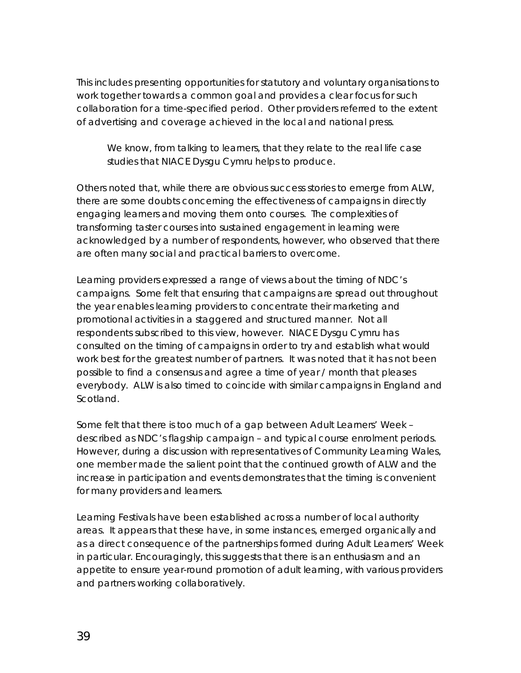This includes presenting opportunities for statutory and voluntary organisations to work together towards a common goal and provides a clear focus for such collaboration for a time-specified period. Other providers referred to the extent of advertising and coverage achieved in the local and national press.

## *We know, from talking to learners, that they relate to the real life case studies that NIACE Dysgu Cymru helps to produce.*

Others noted that, while there are obvious success stories to emerge from ALW, there are some doubts concerning the effectiveness of campaigns in directly engaging learners and moving them onto courses. The complexities of transforming taster courses into sustained engagement in learning were acknowledged by a number of respondents, however, who observed that there are often many social and practical barriers to overcome.

Learning providers expressed a range of views about the timing of NDC's campaigns. Some felt that ensuring that campaigns are spread out throughout the year enables learning providers to concentrate their marketing and promotional activities in a staggered and structured manner. Not all respondents subscribed to this view, however. NIACE Dysgu Cymru has consulted on the timing of campaigns in order to try and establish what would work best for the greatest number of partners. It was noted that it has not been possible to find a consensus and agree a time of year / month that pleases everybody. ALW is also timed to coincide with similar campaigns in England and Scotland.

Some felt that there is too much of a gap between Adult Learners' Week – described as NDC's flagship campaign – and typical course enrolment periods. However, during a discussion with representatives of Community Learning Wales, one member made the salient point that the continued growth of ALW and the increase in participation and events demonstrates that the timing is convenient for many providers and learners.

Learning Festivals have been established across a number of local authority areas. It appears that these have, in some instances, emerged organically and as a direct consequence of the partnerships formed during Adult Learners' Week in particular. Encouragingly, this suggests that there is an enthusiasm and an appetite to ensure year-round promotion of adult learning, with various providers and partners working collaboratively.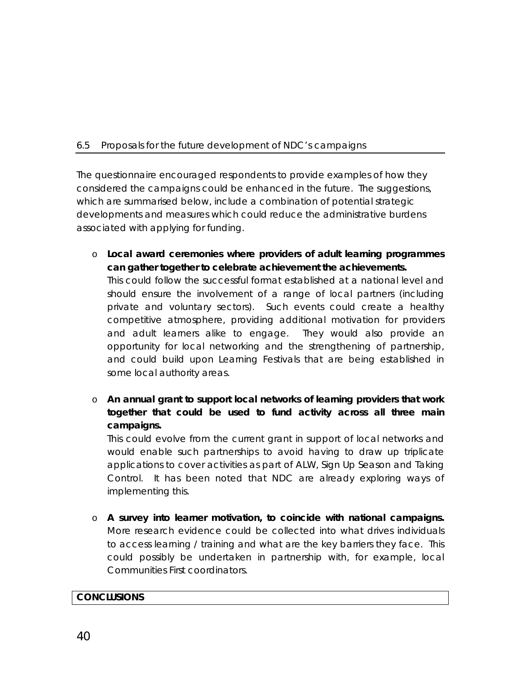#### <span id="page-41-0"></span>6.5 Proposals for the future development of NDC's campaigns

The questionnaire encouraged respondents to provide examples of how they considered the campaigns could be enhanced in the future. The suggestions, which are summarised below, include a combination of potential strategic developments and measures which could reduce the administrative burdens associated with applying for funding.

o **Local award ceremonies where providers of adult learning programmes can gather together to celebrate achievement the achievements.** 

This could follow the successful format established at a national level and should ensure the involvement of a range of local partners (including private and voluntary sectors). Such events could create a healthy competitive atmosphere, providing additional motivation for providers and adult learners alike to engage. They would also provide an opportunity for local networking and the strengthening of partnership, and could build upon Learning Festivals that are being established in some local authority areas.

o **An annual grant to support local networks of learning providers that work together that could be used to fund activity across all three main campaigns.** 

This could evolve from the current grant in support of local networks and would enable such partnerships to avoid having to draw up triplicate applications to cover activities as part of ALW, Sign Up Season and Taking Control. It has been noted that NDC are already exploring ways of implementing this.

o **A survey into learner motivation, to coincide with national campaigns.** More research evidence could be collected into what drives individuals to access learning / training and what are the key barriers they face. This could possibly be undertaken in partnership with, for example, local Communities First coordinators.

#### **CONCLUSIONS**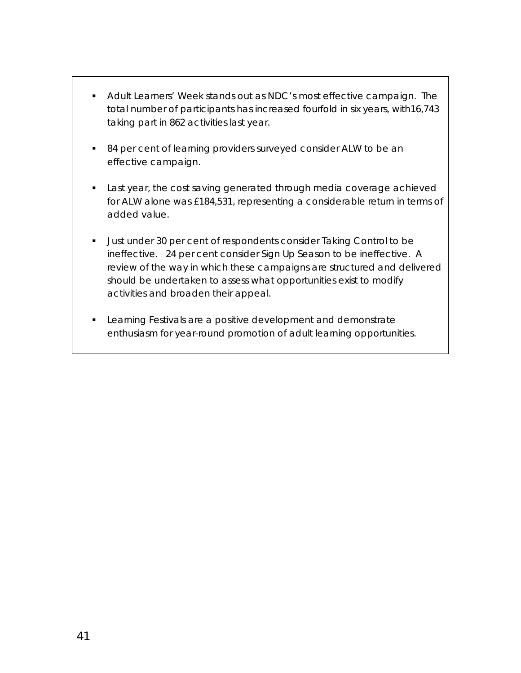- Adult Learners' Week stands out as NDC's most effective campaign. The total number of participants has increased fourfold in six years, with16,743 taking part in 862 activities last year.
- 84 per cent of learning providers surveyed consider ALW to be an effective campaign.
- **Last year, the cost saving generated through media coverage achieved** for ALW alone was £184,531, representing a considerable return in terms of added value.
- **Just under 30 per cent of respondents consider Taking Control to be** ineffective. 24 per cent consider Sign Up Season to be ineffective. A review of the way in which these campaigns are structured and delivered should be undertaken to assess what opportunities exist to modify activities and broaden their appeal.
- **Learning Festivals are a positive development and demonstrate** enthusiasm for year-round promotion of adult learning opportunities.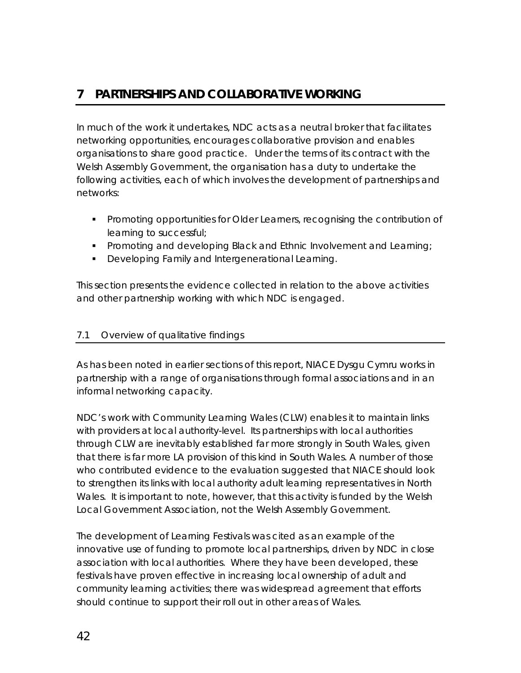## <span id="page-43-0"></span>**7 PARTNERSHIPS AND COLLABORATIVE WORKING**

In much of the work it undertakes, NDC acts as a neutral broker that facilitates networking opportunities, encourages collaborative provision and enables organisations to share good practice. Under the terms of its contract with the Welsh Assembly Government, the organisation has a duty to undertake the following activities, each of which involves the development of partnerships and networks:

- **Promoting opportunities for Older Learners, recognising the contribution of** learning to successful;
- **Promoting and developing Black and Ethnic Involvement and Learning;**
- **Developing Family and Intergenerational Learning.**

This section presents the evidence collected in relation to the above activities and other partnership working with which NDC is engaged.

#### 7.1 Overview of qualitative findings

As has been noted in earlier sections of this report, NIACE Dysgu Cymru works in partnership with a range of organisations through formal associations and in an informal networking capacity.

NDC's work with Community Learning Wales (CLW) enables it to maintain links with providers at local authority-level. Its partnerships with local authorities through CLW are inevitably established far more strongly in South Wales, given that there is far more LA provision of this kind in South Wales. A number of those who contributed evidence to the evaluation suggested that NIACE should look to strengthen its links with local authority adult learning representatives in North Wales. It is important to note, however, that this activity is funded by the Welsh Local Government Association, not the Welsh Assembly Government.

The development of Learning Festivals was cited as an example of the innovative use of funding to promote local partnerships, driven by NDC in close association with local authorities. Where they have been developed, these festivals have proven effective in increasing local ownership of adult and community learning activities; there was widespread agreement that efforts should continue to support their roll out in other areas of Wales.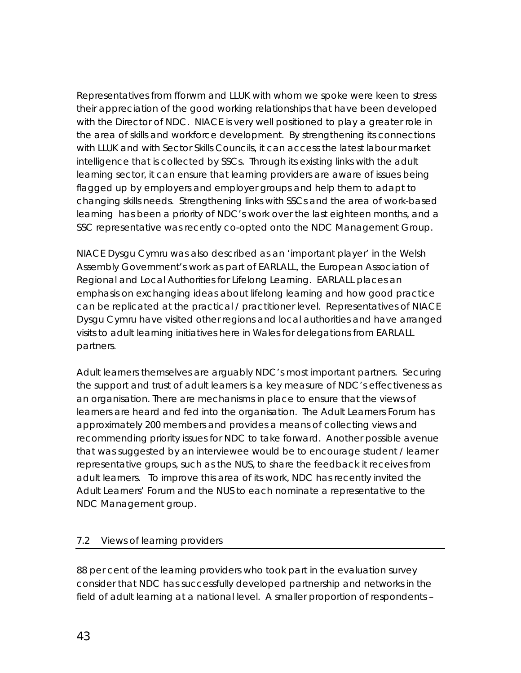<span id="page-44-0"></span>Representatives from *fforwm* and LLUK with whom we spoke were keen to stress their appreciation of the good working relationships that have been developed with the Director of NDC. NIACE is very well positioned to play a greater role in the area of skills and workforce development. By strengthening its connections with LLUK and with Sector Skills Councils, it can access the latest labour market intelligence that is collected by SSCs. Through its existing links with the adult learning sector, it can ensure that learning providers are aware of issues being flagged up by employers and employer groups and help them to adapt to changing skills needs. Strengthening links with SSCs and the area of work-based learning has been a priority of NDC's work over the last eighteen months, and a SSC representative was recently co-opted onto the NDC Management Group.

NIACE Dysgu Cymru was also described as an 'important player' in the Welsh Assembly Government's work as part of EARLALL, the European Association of Regional and Local Authorities for Lifelong Learning. EARLALL places an emphasis on exchanging ideas about lifelong learning and how good practice can be replicated at the practical / practitioner level. Representatives of NIACE Dysgu Cymru have visited other regions and local authorities and have arranged visits to adult learning initiatives here in Wales for delegations from EARLALL partners.

Adult learners themselves are arguably NDC's most important partners. Securing the support and trust of adult learners is a key measure of NDC's effectiveness as an organisation. There are mechanisms in place to ensure that the views of learners are heard and fed into the organisation. The Adult Learners Forum has approximately 200 members and provides a means of collecting views and recommending priority issues for NDC to take forward. Another possible avenue that was suggested by an interviewee would be to encourage student / learner representative groups, such as the NUS, to share the feedback it receives from adult learners. To improve this area of its work, NDC has recently invited the Adult Learners' Forum and the NUS to each nominate a representative to the NDC Management group.

#### 7.2 Views of learning providers

88 per cent of the learning providers who took part in the evaluation survey consider that NDC has successfully developed partnership and networks in the field of adult learning at a national level. A smaller proportion of respondents –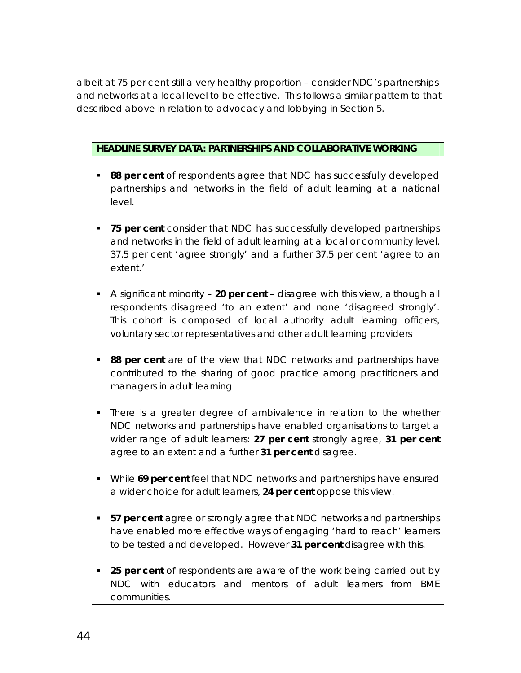albeit at 75 per cent still a very healthy proportion – consider NDC's partnerships and networks at a local level to be effective. This follows a similar pattern to that described above in relation to advocacy and lobbying in Section 5.

#### **HEADLINE SURVEY DATA: PARTNERSHIPS AND COLLABORATIVE WORKING**

- **88 per cent** of respondents agree that NDC has successfully developed partnerships and networks in the field of adult learning at a national level.
- **75 per cent** consider that NDC has successfully developed partnerships and networks in the field of adult learning at a local or community level. 37.5 per cent 'agree strongly' and a further 37.5 per cent 'agree to an extent.'
- A significant minority **20 per cent** disagree with this view, although all respondents disagreed 'to an extent' and none 'disagreed strongly'. This cohort is composed of local authority adult learning officers, voluntary sector representatives and other adult learning providers
- **88 per cent** are of the view that NDC networks and partnerships have contributed to the sharing of good practice among practitioners and managers in adult learning
- There is a greater degree of ambivalence in relation to the whether NDC networks and partnerships have enabled organisations to target a wider range of adult learners: **27 per cent** strongly agree, **31 per cent** agree to an extent and a further **31 per cent** disagree.
- While **69 per cent** feel that NDC networks and partnerships have ensured a wider choice for adult learners, **24 per cent** oppose this view.
- **57 per cent** agree or strongly agree that NDC networks and partnerships have enabled more effective ways of engaging 'hard to reach' learners to be tested and developed. However **31 per cent** disagree with this.
- **25 per cent** of respondents are aware of the work being carried out by NDC with educators and mentors of adult learners from BME communities.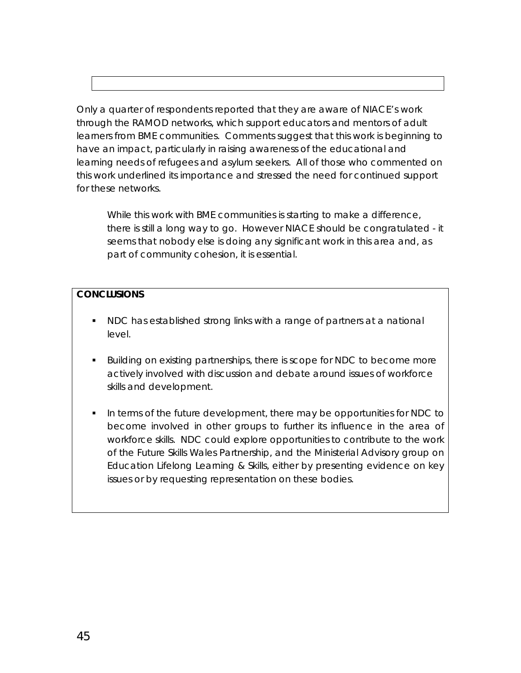Only a quarter of respondents reported that they are aware of NIACE's work through the RAMOD networks, which support educators and mentors of adult learners from BME communities. Comments suggest that this work is beginning to have an impact, particularly in raising awareness of the educational and learning needs of refugees and asylum seekers. All of those who commented on this work underlined its importance and stressed the need for continued support for these networks.

*While this work with BME communities is starting to make a difference, there is still a long way to go. However NIACE should be congratulated - it seems that nobody else is doing any significant work in this area and, as part of community cohesion, it is essential.* 

#### **CONCLUSIONS**

- NDC has established strong links with a range of partners at a national level.
- Building on existing partnerships, there is scope for NDC to become more actively involved with discussion and debate around issues of workforce skills and development.
- In terms of the future development, there may be opportunities for NDC to become involved in other groups to further its influence in the area of workforce skills. NDC could explore opportunities to contribute to the work of the Future Skills Wales Partnership, and the Ministerial Advisory group on Education Lifelong Learning & Skills, either by presenting evidence on key issues or by requesting representation on these bodies.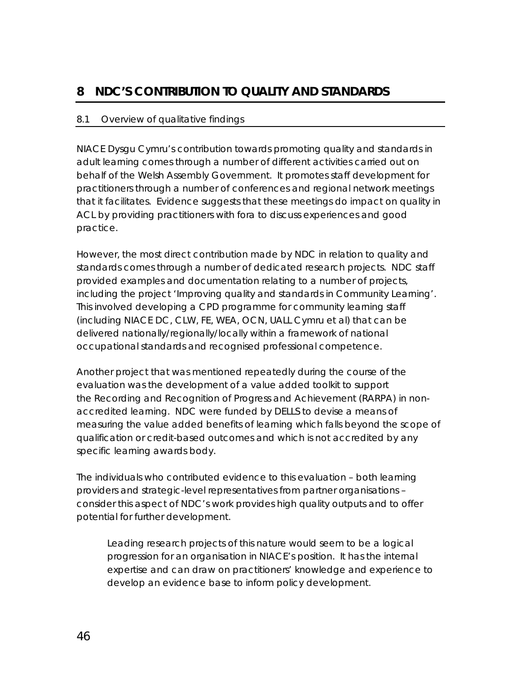## <span id="page-47-0"></span>**8 NDC'S CONTRIBUTION TO QUALITY AND STANDARDS**

#### 8.1 Overview of qualitative findings

NIACE Dysgu Cymru's contribution towards promoting quality and standards in adult learning comes through a number of different activities carried out on behalf of the Welsh Assembly Government. It promotes staff development for practitioners through a number of conferences and regional network meetings that it facilitates. Evidence suggests that these meetings do impact on quality in ACL by providing practitioners with fora to discuss experiences and good practice.

However, the most direct contribution made by NDC in relation to quality and standards comes through a number of dedicated research projects. NDC staff provided examples and documentation relating to a number of projects, including the project 'Improving quality and standards in Community Learning'. This involved developing a CPD programme for community learning staff (including NIACE DC, CLW, FE, WEA, OCN, UALL Cymru et al) that can be delivered nationally/regionally/locally within a framework of national occupational standards and recognised professional competence.

Another project that was mentioned repeatedly during the course of the evaluation was the development of a value added toolkit to support the Recording and Recognition of Progress and Achievement (RARPA) in nonaccredited learning. NDC were funded by DELLS to devise a means of measuring the value added benefits of learning which falls beyond the scope of qualification or credit-based outcomes and which is not accredited by any specific learning awards body.

The individuals who contributed evidence to this evaluation – both learning providers and strategic-level representatives from partner organisations – consider this aspect of NDC's work provides high quality outputs and to offer potential for further development.

*Leading research projects of this nature would seem to be a logical progression for an organisation in NIACE's position. It has the internal expertise and can draw on practitioners' knowledge and experience to develop an evidence base to inform policy development.*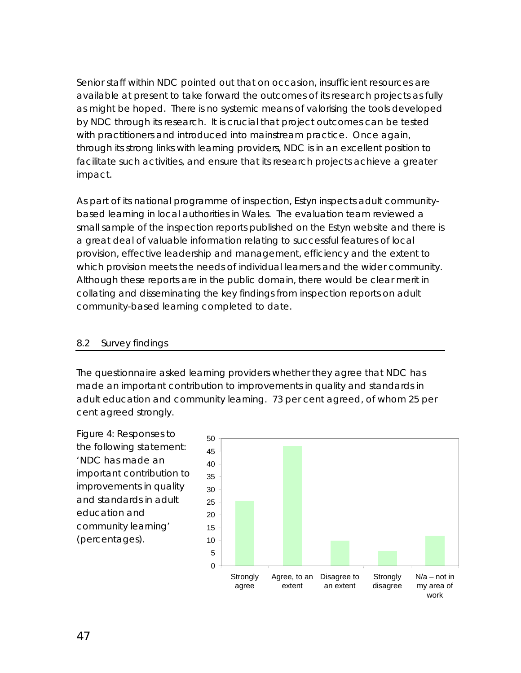<span id="page-48-0"></span>Senior staff within NDC pointed out that on occasion, insufficient resources are available at present to take forward the outcomes of its research projects as fully as might be hoped. There is no systemic means of valorising the tools developed by NDC through its research. It is crucial that project outcomes can be tested with practitioners and introduced into mainstream practice. Once again, through its strong links with learning providers, NDC is in an excellent position to facilitate such activities, and ensure that its research projects achieve a greater impact.

As part of its national programme of inspection, Estyn inspects adult communitybased learning in local authorities in Wales. The evaluation team reviewed a small sample of the inspection reports published on the Estyn website and there is a great deal of valuable information relating to successful features of local provision, effective leadership and management, efficiency and the extent to which provision meets the needs of individual learners and the wider community. Although these reports are in the public domain, there would be clear merit in collating and disseminating the key findings from inspection reports on adult community-based learning completed to date.

#### 8.2 Survey findings

The questionnaire asked learning providers whether they agree that NDC has made an important contribution to improvements in quality and standards in adult education and community learning. 73 per cent agreed, of whom 25 per cent agreed strongly.

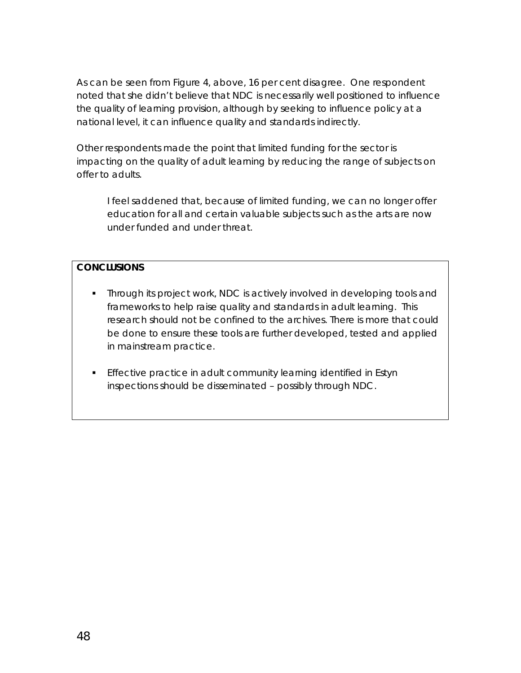As can be seen from Figure 4, above, 16 per cent disagree. One respondent noted that she didn't believe that NDC is necessarily well positioned to influence the quality of learning provision, although by seeking to influence policy at a national level, it can influence quality and standards indirectly.

Other respondents made the point that limited funding for the sector is impacting on the quality of adult learning by reducing the range of subjects on offer to adults.

*I feel saddened that, because of limited funding, we can no longer offer education for all and certain valuable subjects such as the arts are now under funded and under threat.*

#### **CONCLUSIONS**

- **Through its project work, NDC is actively involved in developing tools and** frameworks to help raise quality and standards in adult learning. This research should not be confined to the archives. There is more that could be done to ensure these tools are further developed, tested and applied in mainstream practice.
- **Effective practice in adult community learning identified in Estyn** inspections should be disseminated – possibly through NDC.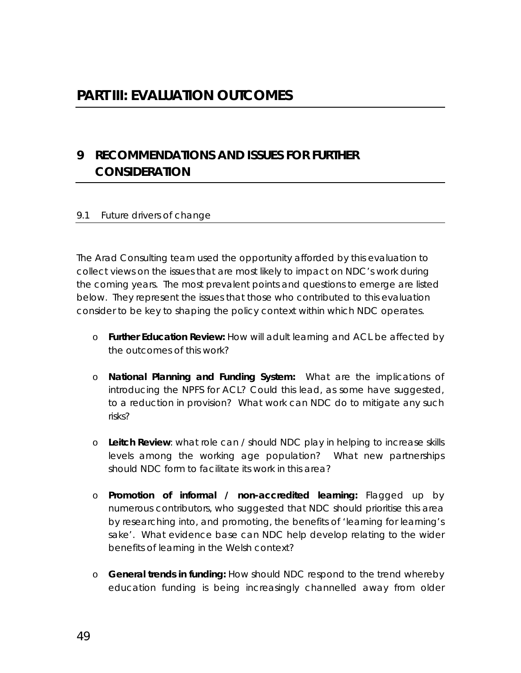# <span id="page-50-0"></span>**PART III: EVALUATION OUTCOMES**

## **9 RECOMMENDATIONS AND ISSUES FOR FURTHER CONSIDERATION**

#### 9.1 Future drivers of change

The Arad Consulting team used the opportunity afforded by this evaluation to collect views on the issues that are most likely to impact on NDC's work during the coming years. The most prevalent points and questions to emerge are listed below. They represent the issues that those who contributed to this evaluation consider to be key to shaping the policy context within which NDC operates.

- o **Further Education Review:** How will adult learning and ACL be affected by the outcomes of this work?
- o **National Planning and Funding System:** What are the implications of introducing the NPFS for ACL? Could this lead, as some have suggested, to a reduction in provision? What work can NDC do to mitigate any such risks?
- o **Leitch Review**: what role can / should NDC play in helping to increase skills levels among the working age population? What new partnerships should NDC form to facilitate its work in this area?
- o **Promotion of informal / non-accredited learning:** Flagged up by numerous contributors, who suggested that NDC should prioritise this area by researching into, and promoting, the benefits of 'learning for learning's sake'. What evidence base can NDC help develop relating to the wider benefits of learning in the Welsh context?
- o **General trends in funding:** How should NDC respond to the trend whereby education funding is being increasingly channelled away from older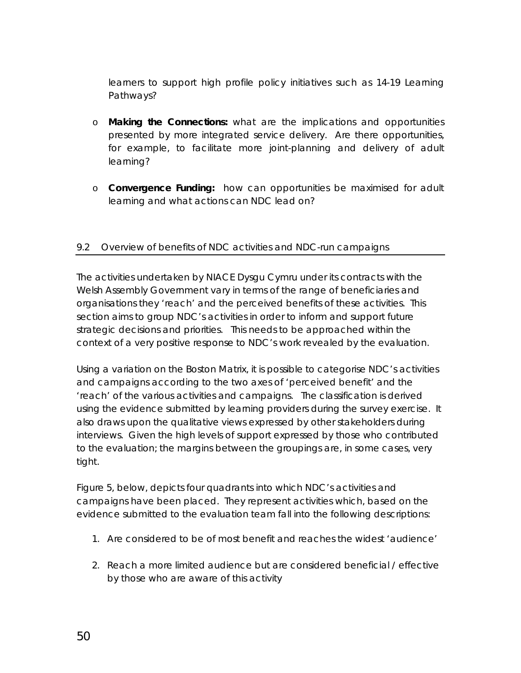<span id="page-51-0"></span>learners to support high profile policy initiatives such as 14-19 Learning Pathways?

- o **Making the Connections:** what are the implications and opportunities presented by more integrated service delivery. Are there opportunities, for example, to facilitate more joint-planning and delivery of adult learning?
- o **Convergence Funding:** how can opportunities be maximised for adult learning and what actions can NDC lead on?

#### 9.2 Overview of benefits of NDC activities and NDC-run campaigns

The activities undertaken by NIACE Dysgu Cymru under its contracts with the Welsh Assembly Government vary in terms of the range of beneficiaries and organisations they 'reach' and the perceived benefits of these activities. This section aims to group NDC's activities in order to inform and support future strategic decisions and priorities. This needs to be approached within the context of a very positive response to NDC's work revealed by the evaluation.

Using a variation on the Boston Matrix, it is possible to categorise NDC's activities and campaigns according to the two axes of 'perceived benefit' and the 'reach' of the various activities and campaigns. The classification is derived using the evidence submitted by learning providers during the survey exercise. It also draws upon the qualitative views expressed by other stakeholders during interviews. Given the high levels of support expressed by those who contributed to the evaluation; the margins between the groupings are, in some cases, very tight.

Figure 5, below, depicts four quadrants into which NDC's activities and campaigns have been placed. They represent activities which, based on the evidence submitted to the evaluation team fall into the following descriptions:

- 1. Are considered to be of most benefit and reaches the widest 'audience'
- 2. Reach a more limited audience but are considered beneficial / effective by those who are aware of this activity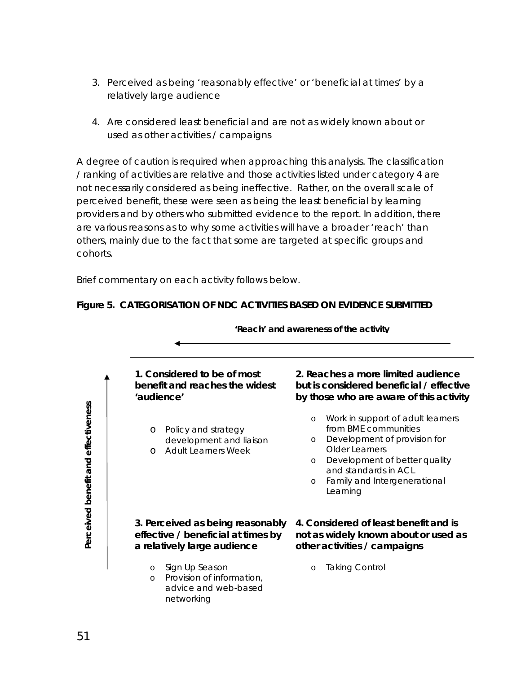- 3. Perceived as being 'reasonably effective' or 'beneficial at times' by a relatively large audience
- 4. Are considered least beneficial and are not as widely known about or used as other activities / campaigns

A degree of caution is required when approaching this analysis. The classification / ranking of activities are relative and those activities listed under category 4 are not necessarily considered as being ineffective. Rather, on the overall scale of perceived benefit, these were seen as being the least beneficial by learning providers and by others who submitted evidence to the report. In addition, there are various reasons as to why some activities will have a broader 'reach' than others, mainly due to the fact that some are targeted at specific groups and cohorts.

Brief commentary on each activity follows below.



#### **Figure 5. CATEGORISATION OF NDC ACTIVITIES BASED ON EVIDENCE SUBMITTED**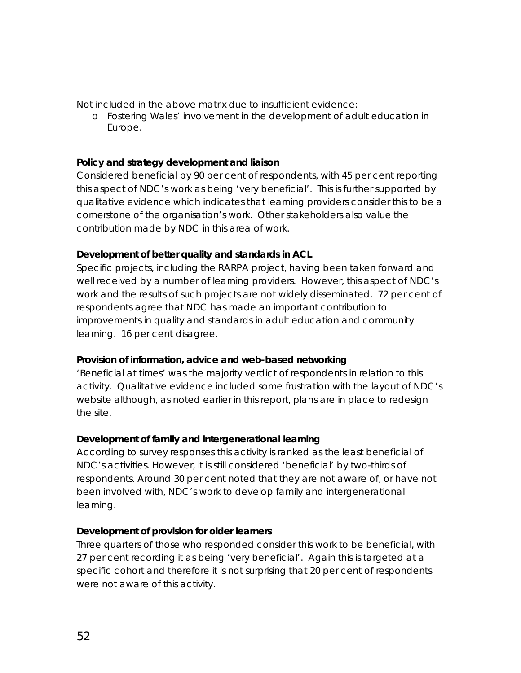Not included in the above matrix due to insufficient evidence:

o Fostering Wales' involvement in the development of adult education in Europe.

#### **Policy and strategy development and liaison**

Considered beneficial by 90 per cent of respondents, with 45 per cent reporting this aspect of NDC's work as being 'very beneficial'. This is further supported by qualitative evidence which indicates that learning providers consider this to be a cornerstone of the organisation's work. Other stakeholders also value the contribution made by NDC in this area of work.

#### **Development of better quality and standards in ACL**

Specific projects, including the RARPA project, having been taken forward and well received by a number of learning providers. However, this aspect of NDC's work and the results of such projects are not widely disseminated. 72 per cent of respondents agree that NDC has made an important contribution to improvements in quality and standards in adult education and community learning. 16 per cent disagree.

#### **Provision of information, advice and web-based networking**

'Beneficial at times' was the majority verdict of respondents in relation to this activity. Qualitative evidence included some frustration with the layout of NDC's website although, as noted earlier in this report, plans are in place to redesign the site.

#### **Development of family and intergenerational learning**

According to survey responses this activity is ranked as the least beneficial of NDC's activities. However, it is still considered 'beneficial' by two-thirds of respondents. Around 30 per cent noted that they are not aware of, or have not been involved with, NDC's work to develop family and intergenerational learning.

#### **Development of provision for older learners**

Three quarters of those who responded consider this work to be beneficial, with 27 per cent recording it as being 'very beneficial'. Again this is targeted at a specific cohort and therefore it is not surprising that 20 per cent of respondents were not aware of this activity.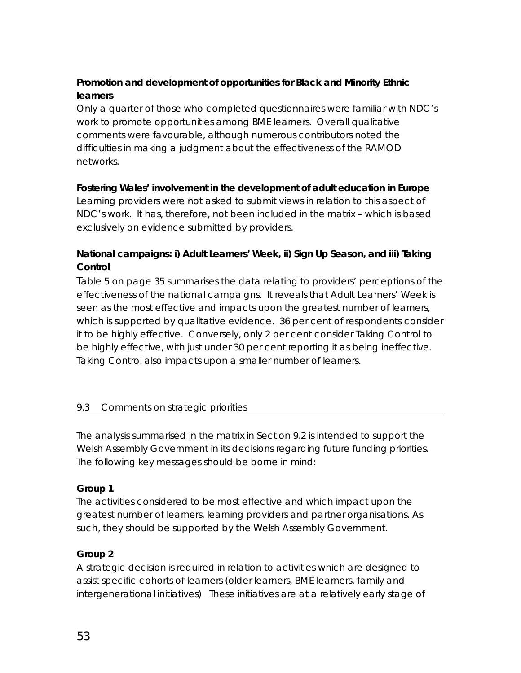## <span id="page-54-0"></span>**Promotion and development of opportunities for Black and Minority Ethnic learners**

Only a quarter of those who completed questionnaires were familiar with NDC's work to promote opportunities among BME learners. Overall qualitative comments were favourable, although numerous contributors noted the difficulties in making a judgment about the effectiveness of the RAMOD networks.

#### **Fostering Wales' involvement in the development of adult education in Europe**

Learning providers were not asked to submit views in relation to this aspect of NDC's work. It has, therefore, not been included in the matrix – which is based exclusively on evidence submitted by providers.

## **National campaigns: i) Adult Learners' Week, ii) Sign Up Season, and iii) Taking Control**

Table 5 on page 35 summarises the data relating to providers' perceptions of the effectiveness of the national campaigns. It reveals that Adult Learners' Week is seen as the most effective and impacts upon the greatest number of learners, which is supported by qualitative evidence. 36 per cent of respondents consider it to be highly effective. Conversely, only 2 per cent consider Taking Control to be highly effective, with just under 30 per cent reporting it as being ineffective. Taking Control also impacts upon a smaller number of learners.

### 9.3 Comments on strategic priorities

The analysis summarised in the matrix in Section 9.2 is intended to support the Welsh Assembly Government in its decisions regarding future funding priorities. The following key messages should be borne in mind:

#### **Group 1**

The activities considered to be most effective and which impact upon the greatest number of learners, learning providers and partner organisations. As such, they should be supported by the Welsh Assembly Government.

### **Group 2**

A strategic decision is required in relation to activities which are designed to assist specific cohorts of learners (older learners, BME learners, family and intergenerational initiatives). These initiatives are at a relatively early stage of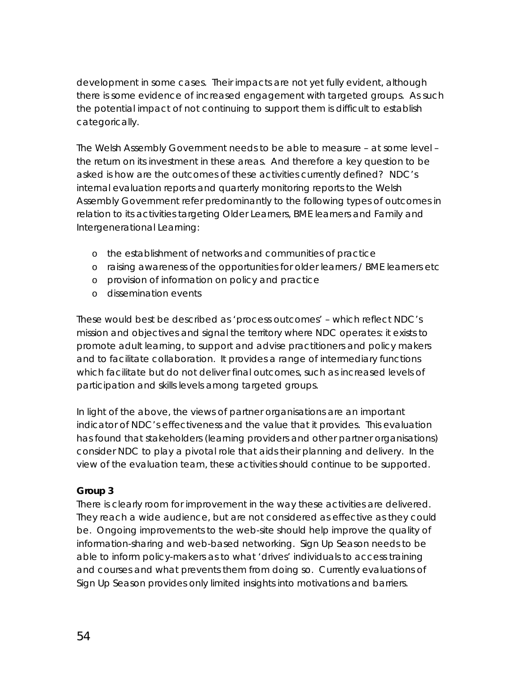development in some cases. Their impacts are not yet fully evident, although there is some evidence of increased engagement with targeted groups. As such the potential impact of not continuing to support them is difficult to establish categorically.

The Welsh Assembly Government needs to be able to measure – at some level – the return on its investment in these areas. And therefore a key question to be asked is how are the outcomes of these activities currently defined? NDC's internal evaluation reports and quarterly monitoring reports to the Welsh Assembly Government refer predominantly to the following types of outcomes in relation to its activities targeting Older Learners, BME learners and Family and Intergenerational Learning:

- o the establishment of networks and communities of practice
- o raising awareness of the opportunities for older learners / BME learners etc
- o provision of information on policy and practice
- o dissemination events

These would best be described as 'process outcomes' – which reflect NDC's mission and objectives and signal the territory where NDC operates: it exists to promote adult learning, to support and advise practitioners and policy makers and to facilitate collaboration. It provides a range of intermediary functions which facilitate but do not deliver final outcomes, such as increased levels of participation and skills levels among targeted groups.

In light of the above, the views of partner organisations are an important indicator of NDC's effectiveness and the value that it provides. This evaluation has found that stakeholders (learning providers and other partner organisations) consider NDC to play a pivotal role that aids their planning and delivery. In the view of the evaluation team, these activities should continue to be supported.

### **Group 3**

There is clearly room for improvement in the way these activities are delivered. They reach a wide audience, but are not considered as effective as they could be. Ongoing improvements to the web-site should help improve the quality of information-sharing and web-based networking. Sign Up Season needs to be able to inform policy-makers as to what 'drives' individuals to access training and courses and what prevents them from doing so. Currently evaluations of Sign Up Season provides only limited insights into motivations and barriers.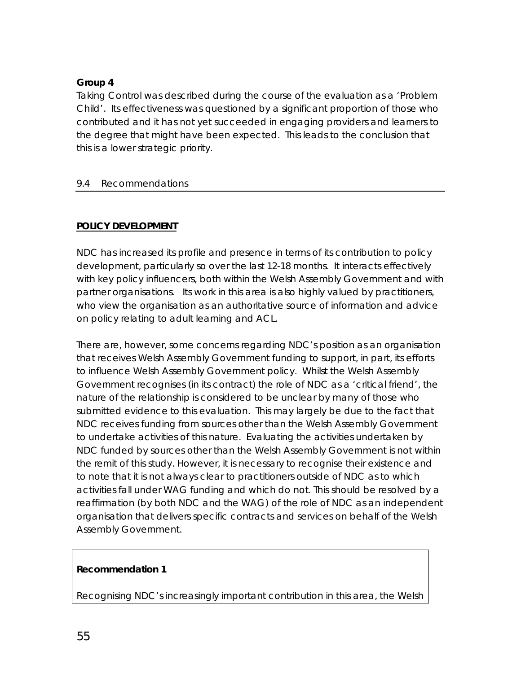## <span id="page-56-0"></span>**Group 4**

Taking Control was described during the course of the evaluation as a 'Problem Child'. Its effectiveness was questioned by a significant proportion of those who contributed and it has not yet succeeded in engaging providers and learners to the degree that might have been expected. This leads to the conclusion that this is a lower strategic priority.

#### 9.4 Recommendations

### **POLICY DEVELOPMENT**

NDC has increased its profile and presence in terms of its contribution to policy development, particularly so over the last 12-18 months. It interacts effectively with key policy influencers, both within the Welsh Assembly Government and with partner organisations. Its work in this area is also highly valued by practitioners, who view the organisation as an authoritative source of information and advice on policy relating to adult learning and ACL.

There are, however, some concerns regarding NDC's position as an organisation that receives Welsh Assembly Government funding to support, in part, its efforts to influence Welsh Assembly Government policy. Whilst the Welsh Assembly Government recognises (in its contract) the role of NDC as a 'critical friend', the nature of the relationship is considered to be unclear by many of those who submitted evidence to this evaluation. This may largely be due to the fact that NDC receives funding from sources other than the Welsh Assembly Government to undertake activities of this nature. Evaluating the activities undertaken by NDC funded by sources other than the Welsh Assembly Government is not within the remit of this study. However, it is necessary to recognise their existence and to note that it is not always clear to practitioners outside of NDC as to which activities fall under WAG funding and which do not. This should be resolved by a reaffirmation (by both NDC and the WAG) of the role of NDC as an independent organisation that delivers specific contracts and services on behalf of the Welsh Assembly Government.

### **Recommendation 1**

Recognising NDC's increasingly important contribution in this area, the Welsh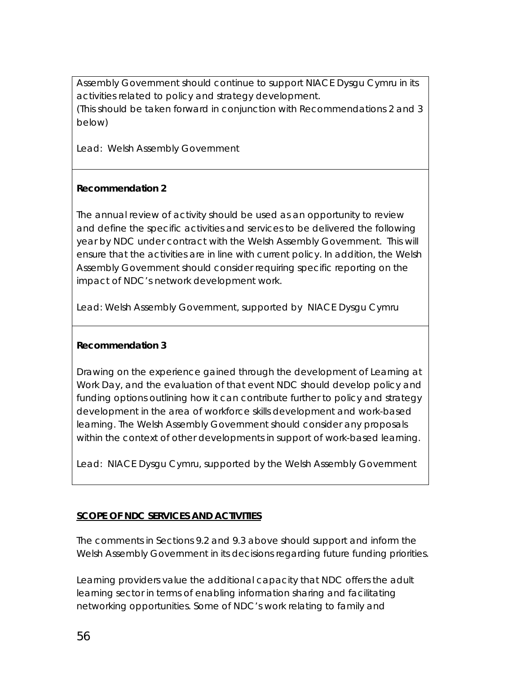Assembly Government should continue to support NIACE Dysgu Cymru in its activities related to policy and strategy development. (This should be taken forward in conjunction with Recommendations 2 and 3 below)

*Lead: Welsh Assembly Government* 

### **Recommendation 2**

The annual review of activity should be used as an opportunity to review and define the specific activities and services to be delivered the following year by NDC under contract with the Welsh Assembly Government. This will ensure that the activities are in line with current policy. In addition, the Welsh Assembly Government should consider requiring specific reporting on the impact of NDC's network development work.

Lead: Welsh Assembly Government, supported by NIACE Dysgu Cymru

### **Recommendation 3**

Drawing on the experience gained through the development of Learning at Work Day, and the evaluation of that event NDC should develop policy and funding options outlining how it can contribute further to policy and strategy development in the area of workforce skills development and work-based learning. The Welsh Assembly Government should consider any proposals within the context of other developments in support of work-based learning.

Lead: NIACE Dysgu Cymru, supported by the Welsh Assembly Government

## **SCOPE OF NDC SERVICES AND ACTIVITIES**

The comments in Sections 9.2 and 9.3 above should support and inform the Welsh Assembly Government in its decisions regarding future funding priorities.

Learning providers value the additional capacity that NDC offers the adult learning sector in terms of enabling information sharing and facilitating networking opportunities. Some of NDC's work relating to family and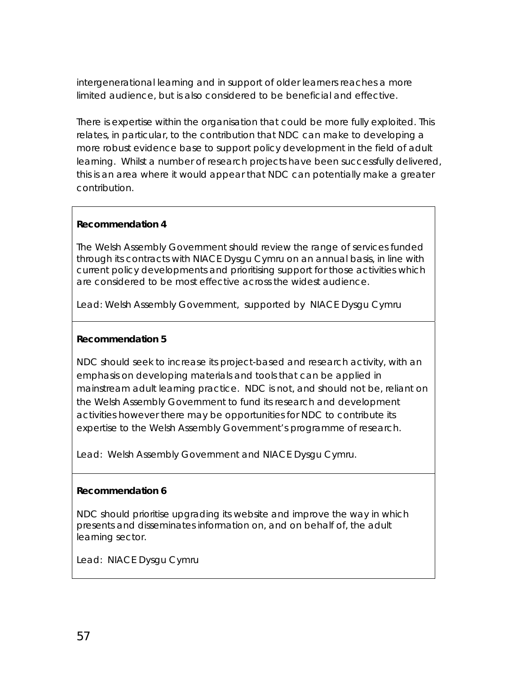intergenerational learning and in support of older learners reaches a more limited audience, but is also considered to be beneficial and effective.

There is expertise within the organisation that could be more fully exploited. This relates, in particular, to the contribution that NDC can make to developing a more robust evidence base to support policy development in the field of adult learning. Whilst a number of research projects have been successfully delivered, this is an area where it would appear that NDC can potentially make a greater contribution.

#### **Recommendation 4**

The Welsh Assembly Government should review the range of services funded through its contracts with NIACE Dysgu Cymru on an annual basis, in line with current policy developments and prioritising support for those activities which are considered to be most effective across the widest audience.

*Lead: Welsh Assembly Government, supported by NIACE Dysgu Cymru* 

#### **Recommendation 5**

NDC should seek to increase its project-based and research activity, with an emphasis on developing materials and tools that can be applied in mainstream adult learning practice. NDC is not, and should not be, reliant on the Welsh Assembly Government to fund its research and development activities however there may be opportunities for NDC to contribute its expertise to the Welsh Assembly Government's programme of research.

Lead: Welsh Assembly Government and NIACE Dysgu Cymru.

#### **Recommendation 6**

NDC should prioritise upgrading its website and improve the way in which presents and disseminates information on, and on behalf of, the adult learning sector.

*Lead: NIACE Dysgu Cymru*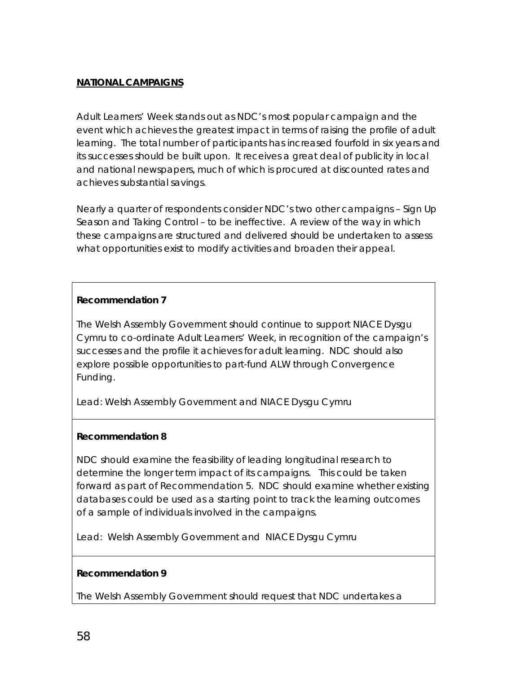#### **NATIONAL CAMPAIGNS**

Adult Learners' Week stands out as NDC's most popular campaign and the event which achieves the greatest impact in terms of raising the profile of adult learning. The total number of participants has increased fourfold in six years and its successes should be built upon. It receives a great deal of publicity in local and national newspapers, much of which is procured at discounted rates and achieves substantial savings.

Nearly a quarter of respondents consider NDC's two other campaigns – Sign Up Season and Taking Control – to be ineffective. A review of the way in which these campaigns are structured and delivered should be undertaken to assess what opportunities exist to modify activities and broaden their appeal.

#### **Recommendation 7**

The Welsh Assembly Government should continue to support NIACE Dysgu Cymru to co-ordinate Adult Learners' Week, in recognition of the campaign's successes and the profile it achieves for adult learning. NDC should also explore possible opportunities to part-fund ALW through Convergence Funding.

*Lead: Welsh Assembly Government and NIACE Dysgu Cymru* 

#### **Recommendation 8**

NDC should examine the feasibility of leading longitudinal research to determine the longer term impact of its campaigns. This could be taken forward as part of Recommendation 5. NDC should examine whether existing databases could be used as a starting point to track the learning outcomes of a sample of individuals involved in the campaigns.

*Lead: Welsh Assembly Government and NIACE Dysgu Cymru* 

#### **Recommendation 9**

The Welsh Assembly Government should request that NDC undertakes a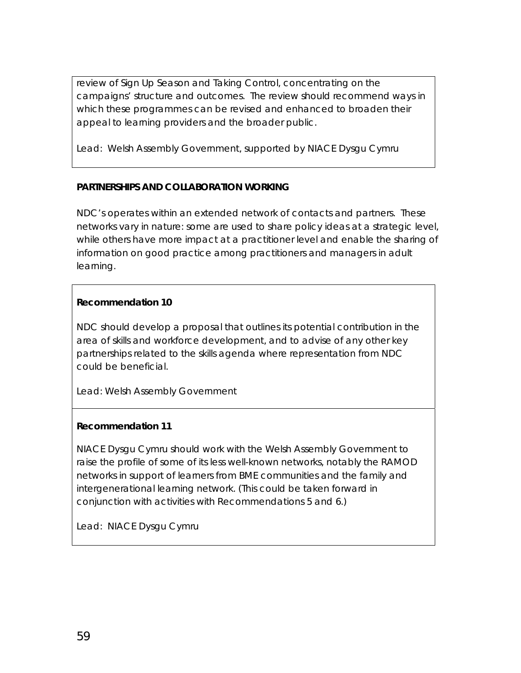review of Sign Up Season and Taking Control, concentrating on the campaigns' structure and outcomes. The review should recommend ways in which these programmes can be revised and enhanced to broaden their appeal to learning providers and the broader public.

*Lead: Welsh Assembly Government, supported by NIACE Dysgu Cymru* 

### **PARTNERSHIPS AND COLLABORATION WORKING**

NDC's operates within an extended network of contacts and partners. These networks vary in nature: some are used to share policy ideas at a strategic level, while others have more impact at a practitioner level and enable the sharing of information on good practice among practitioners and managers in adult learning.

#### **Recommendation 10**

NDC should develop a proposal that outlines its potential contribution in the area of skills and workforce development, and to advise of any other key partnerships related to the skills agenda where representation from NDC could be beneficial.

*Lead: Welsh Assembly Government* 

#### **Recommendation 11**

NIACE Dysgu Cymru should work with the Welsh Assembly Government to raise the profile of some of its less well-known networks, notably the RAMOD networks in support of learners from BME communities and the family and intergenerational learning network. (This could be taken forward in conjunction with activities with Recommendations 5 and 6.)

*Lead: NIACE Dysgu Cymru*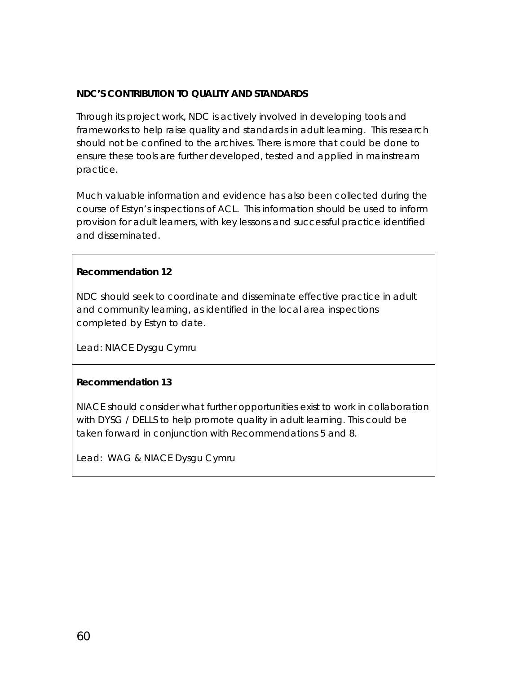#### **NDC'S CONTRIBUTION TO QUALITY AND STANDARDS**

Through its project work, NDC is actively involved in developing tools and frameworks to help raise quality and standards in adult learning. This research should not be confined to the archives. There is more that could be done to ensure these tools are further developed, tested and applied in mainstream practice.

Much valuable information and evidence has also been collected during the course of Estyn's inspections of ACL. This information should be used to inform provision for adult learners, with key lessons and successful practice identified and disseminated.

#### **Recommendation 12**

NDC should seek to coordinate and disseminate effective practice in adult and community learning, as identified in the local area inspections completed by Estyn to date.

*Lead: NIACE Dysgu Cymru* 

#### **Recommendation 13**

NIACE should consider what further opportunities exist to work in collaboration with DYSG / DELLS to help promote quality in adult learning. This could be taken forward in conjunction with Recommendations 5 and 8.

*Lead: WAG & NIACE Dysgu Cymru*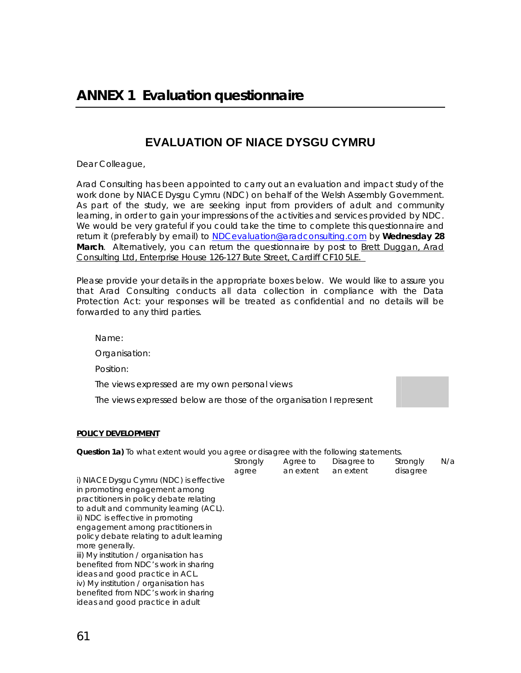## **EVALUATION OF NIACE DYSGU CYMRU**

<span id="page-62-0"></span>Dear Colleague,

Arad Consulting has been appointed to carry out an evaluation and impact study of the work done by NIACE Dysgu Cymru (NDC) on behalf of the Welsh Assembly Government. As part of the study, we are seeking input from providers of adult and community learning, in order to gain your impressions of the activities and services provided by NDC. We would be very grateful if you could take the time to complete this questionnaire and return it (preferably by email) to [NDCevaluation@aradconsulting.com](mailto:Brett@aradconsulting.com) by **Wednesday 28 March**. Alternatively, you can return the questionnaire by post to Brett Duggan, Arad Consulting Ltd, Enterprise House 126-127 Bute Street, Cardiff CF10 5LE.

Please provide your details in the appropriate boxes below. We would like to assure you that Arad Consulting conducts all data collection in compliance with the Data Protection Act: your responses will be treated as confidential and no details will be forwarded to any third parties.

Name:

Organisation:

Position:

The views expressed are my own personal views

The views expressed below are those of the organisation I represent

#### **POLICY DEVELOPMENT**

**Question 1a)** To what extent would you agree or disagree with the following statements.

|                                          | Strongly<br>agree | Agree to<br>an extent | Disagree to<br>an extent | Strongly<br>disagree | N/a |
|------------------------------------------|-------------------|-----------------------|--------------------------|----------------------|-----|
| i) NIACE Dysgu Cymru (NDC) is effective  |                   |                       |                          |                      |     |
| in promoting engagement among            |                   |                       |                          |                      |     |
| practitioners in policy debate relating  |                   |                       |                          |                      |     |
| to adult and community learning (ACL).   |                   |                       |                          |                      |     |
| ii) NDC is effective in promoting        |                   |                       |                          |                      |     |
| engagement among practitioners in        |                   |                       |                          |                      |     |
| policy debate relating to adult learning |                   |                       |                          |                      |     |
| more generally.                          |                   |                       |                          |                      |     |
| iii) My institution / organisation has   |                   |                       |                          |                      |     |
| benefited from NDC's work in sharing     |                   |                       |                          |                      |     |
| ideas and good practice in ACL.          |                   |                       |                          |                      |     |
| iv) My institution / organisation has    |                   |                       |                          |                      |     |
| benefited from NDC's work in sharing     |                   |                       |                          |                      |     |
| ideas and good practice in adult         |                   |                       |                          |                      |     |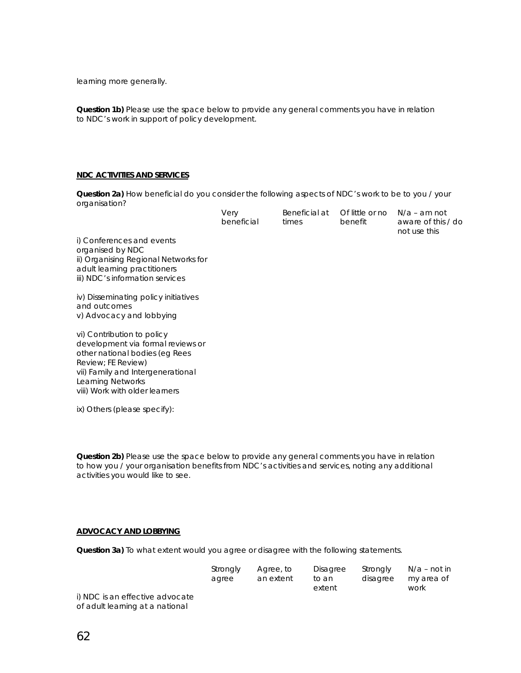learning more generally.

**Question 1b)** Please use the space below to provide any general comments you have in relation to NDC's work in support of policy development.

#### **NDC ACTIVITIES AND SERVICES**

**Question 2a)** How beneficial do you consider the following aspects of NDC's work to be to you / your organisation?

| Very       | Beneficial at | Of little or no $N/a$ – am not |                    |
|------------|---------------|--------------------------------|--------------------|
| beneficial | times         | benefit                        | aware of this / do |
|            |               |                                | not use this       |

i) Conferences and events organised by NDC ii) Organising Regional Networks for adult learning practitioners iii) NDC's information services

iv) Disseminating policy initiatives and outcomes v) Advocacy and lobbying

vi) Contribution to policy development via formal reviews or other national bodies (eg Rees Review; FE Review) vii) Family and Intergenerational Learning Networks viii) Work with older learners

ix) Others (please specify):

**Question 2b)** Please use the space below to provide any general comments you have in relation to how you / your organisation benefits from NDC's activities and services, noting any additional activities you would like to see.

#### **ADVOCACY AND LOBBYING**

**Question 3a)** To what extent would you agree or disagree with the following statements.

|                                 | Strongly | Agree, to | Disagree        | Stronaly | N/a – not in       |
|---------------------------------|----------|-----------|-----------------|----------|--------------------|
|                                 | aaree    | an extent | to an<br>extent | disagree | my area of<br>work |
| i) NDC is an effective advocate |          |           |                 |          |                    |
| of adult learning at a national |          |           |                 |          |                    |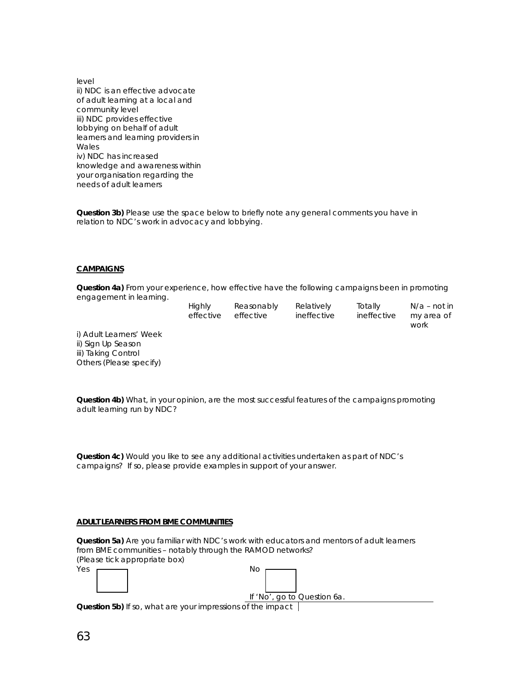level ii) NDC is an effective advocate of adult learning at a local and community level iii) NDC provides effective lobbying on behalf of adult learners and learning providers in **Wales** iv) NDC has increased knowledge and awareness within your organisation regarding the needs of adult learners

**Question 3b)** Please use the space below to briefly note any general comments you have in relation to NDC's work in advocacy and lobbying.

#### **CAMPAIGNS**

**Question 4a)** From your experience, how effective have the following campaigns been in promoting engagement in learning.

| Highly    | Reasonably |
|-----------|------------|
| effective | effective  |

Relatively ineffective Totally ineffective N/a – not in my area of work

i) Adult Learners' Week ii) Sign Up Season iii) Taking Control Others (Please specify)

**Question 4b)** What, in your opinion, are the most successful features of the campaigns promoting adult learning run by NDC?

**Question 4c)** Would you like to see any additional activities undertaken as part of NDC's campaigns? If so, please provide examples in support of your answer.

#### **ADULT LEARNERS FROM BME COMMUNITIES**

**Question 5a)** Are you familiar with NDC's work with educators and mentors of adult learners from BME communities – notably through the RAMOD networks? (Please tick appropriate box)

| Yes |  |  |  | <b>No</b> |
|-----|--|--|--|-----------|
|     |  |  |  |           |
|     |  |  |  |           |

| Νo |  |                             |  |
|----|--|-----------------------------|--|
|    |  |                             |  |
|    |  |                             |  |
|    |  | If 'No', go to Question 6a. |  |

**Question 5b)** If so, what are your impressions of the impact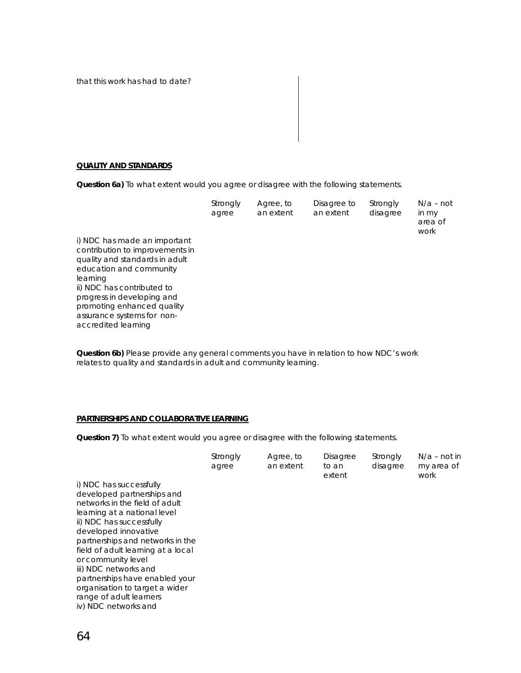that this work has had to date?

#### **QUALITY AND STANDARDS**

**Question 6a)** To what extent would you agree or disagree with the following statements.

|                                 | Strongly<br>agree | Agree, to<br>an extent | Disagree to<br>an extent | Strongly<br>disagree | $N/a$ – not<br>in my<br>area of<br>work |
|---------------------------------|-------------------|------------------------|--------------------------|----------------------|-----------------------------------------|
| i) NDC has made an important    |                   |                        |                          |                      |                                         |
| contribution to improvements in |                   |                        |                          |                      |                                         |
| quality and standards in adult  |                   |                        |                          |                      |                                         |
| education and community         |                   |                        |                          |                      |                                         |
| learning                        |                   |                        |                          |                      |                                         |
| ii) NDC has contributed to      |                   |                        |                          |                      |                                         |
| progress in developing and      |                   |                        |                          |                      |                                         |
| promoting enhanced quality      |                   |                        |                          |                      |                                         |
| assurance systems for non-      |                   |                        |                          |                      |                                         |
| accredited learning             |                   |                        |                          |                      |                                         |

**Question 6b)** Please provide any general comments you have in relation to how NDC's work relates to quality and standards in adult and community learning.

#### **PARTNERSHIPS AND COLLABORATIVE LEARNING**

**Question 7)** To what extent would you agree or disagree with the following statements.

|                                    | Strongly<br>agree | Agree, to<br>an extent | <b>Disagree</b><br>to an<br>extent | Strongly<br>disagree | $N/a$ – not in<br>my area of<br>work |
|------------------------------------|-------------------|------------------------|------------------------------------|----------------------|--------------------------------------|
| i) NDC has successfully            |                   |                        |                                    |                      |                                      |
| developed partnerships and         |                   |                        |                                    |                      |                                      |
| networks in the field of adult     |                   |                        |                                    |                      |                                      |
| learning at a national level       |                   |                        |                                    |                      |                                      |
| ii) NDC has successfully           |                   |                        |                                    |                      |                                      |
| developed innovative               |                   |                        |                                    |                      |                                      |
| partnerships and networks in the   |                   |                        |                                    |                      |                                      |
| field of adult learning at a local |                   |                        |                                    |                      |                                      |
| or community level                 |                   |                        |                                    |                      |                                      |
| iii) NDC networks and              |                   |                        |                                    |                      |                                      |
| partnerships have enabled your     |                   |                        |                                    |                      |                                      |
| organisation to target a wider     |                   |                        |                                    |                      |                                      |
| range of adult learners            |                   |                        |                                    |                      |                                      |
| iv) NDC networks and               |                   |                        |                                    |                      |                                      |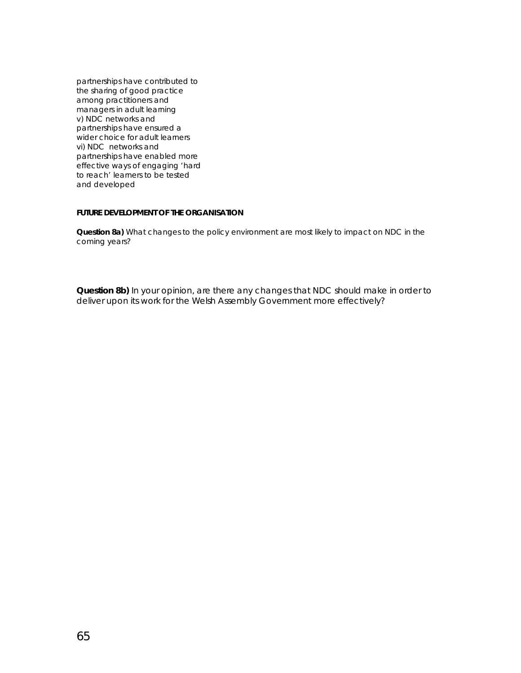partnerships have contributed to the sharing of good practice among practitioners and managers in adult learning v) NDC networks and partnerships have ensured a wider choice for adult learners vi) NDC networks and partnerships have enabled more effective ways of engaging 'hard to reach' learners to be tested and developed

#### **FUTURE DEVELOPMENT OF THE ORGANISATION**

**Question 8a)** What changes to the policy environment are most likely to impact on NDC in the coming years?

**Question 8b)** In your opinion, are there any changes that NDC should make in order to deliver upon its work for the Welsh Assembly Government more effectively?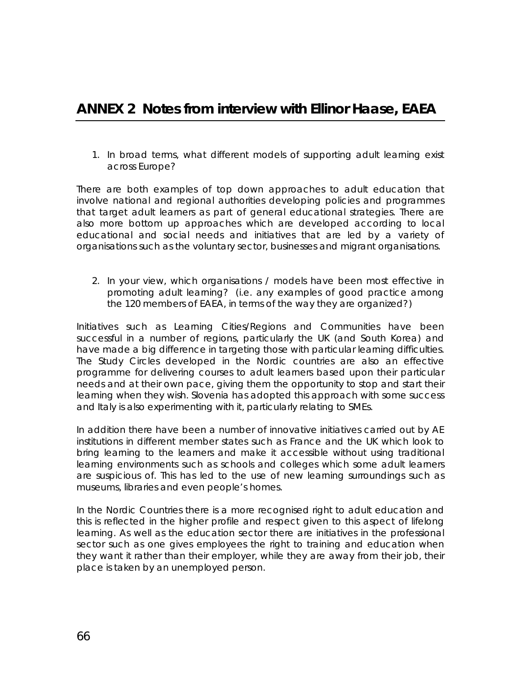# <span id="page-67-0"></span>**ANNEX 2 Notes from interview with Ellinor Haase, EAEA**

*1. In broad terms, what different models of supporting adult learning exist across Europe?* 

There are both examples of top down approaches to adult education that involve national and regional authorities developing policies and programmes that target adult learners as part of general educational strategies. There are also more bottom up approaches which are developed according to local educational and social needs and initiatives that are led by a variety of organisations such as the voluntary sector, businesses and migrant organisations.

*2. In your view, which organisations / models have been most effective in promoting adult learning? (i.e. any examples of good practice among the 120 members of EAEA, in terms of the way they are organized?)* 

Initiatives such as Learning Cities/Regions and Communities have been successful in a number of regions, particularly the UK (and South Korea) and have made a big difference in targeting those with particular learning difficulties. The Study Circles developed in the Nordic countries are also an effective programme for delivering courses to adult learners based upon their particular needs and at their own pace, giving them the opportunity to stop and start their learning when they wish. Slovenia has adopted this approach with some success and Italy is also experimenting with it, particularly relating to SMEs.

In addition there have been a number of innovative initiatives carried out by AE institutions in different member states such as France and the UK which look to bring learning to the learners and make it accessible without using traditional learning environments such as schools and colleges which some adult learners are suspicious of. This has led to the use of new learning surroundings such as museums, libraries and even people's homes.

In the Nordic Countries there is a more recognised right to adult education and this is reflected in the higher profile and respect given to this aspect of lifelong learning. As well as the education sector there are initiatives in the professional sector such as one gives employees the right to training and education when they want it rather than their employer, while they are away from their job, their place is taken by an unemployed person.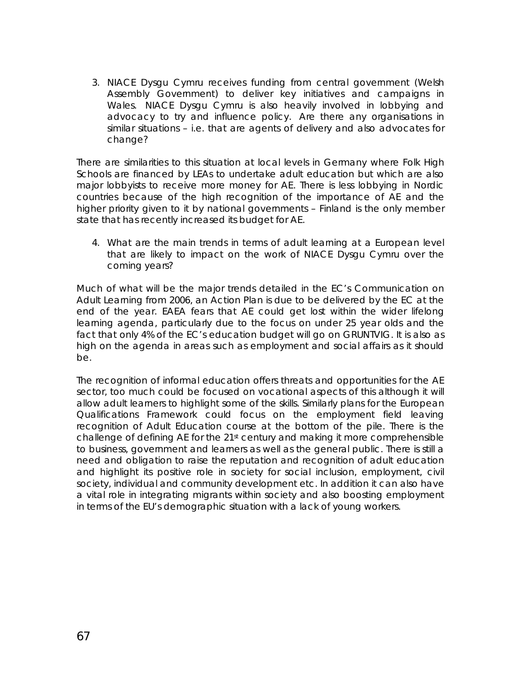*3. NIACE Dysgu Cymru receives funding from central government (Welsh Assembly Government) to deliver key initiatives and campaigns in Wales. NIACE Dysgu Cymru is also heavily involved in lobbying and advocacy to try and influence policy. Are there any organisations in similar situations – i.e. that are agents of delivery and also advocates for change?* 

There are similarities to this situation at local levels in Germany where Folk High Schools are financed by LEAs to undertake adult education but which are also major lobbyists to receive more money for AE. There is less lobbying in Nordic countries because of the high recognition of the importance of AE and the higher priority given to it by national governments – Finland is the only member state that has recently increased its budget for AE.

*4. What are the main trends in terms of adult learning at a European level that are likely to impact on the work of NIACE Dysgu Cymru over the coming years?* 

Much of what will be the major trends detailed in the EC's Communication on Adult Learning from 2006, an Action Plan is due to be delivered by the EC at the end of the year. EAEA fears that AE could get lost within the wider lifelong learning agenda, particularly due to the focus on under 25 year olds and the fact that only 4% of the EC's education budget will go on GRUNTVIG. It is also as high on the agenda in areas such as employment and social affairs as it should be.

The recognition of informal education offers threats and opportunities for the AE sector, too much could be focused on vocational aspects of this although it will allow adult learners to highlight some of the skills. Similarly plans for the European Qualifications Framework could focus on the employment field leaving recognition of Adult Education course at the bottom of the pile. There is the challenge of defining AE for the 21<sup>st</sup> century and making it more comprehensible to business, government and learners as well as the general public. There is still a need and obligation to raise the reputation and recognition of adult education and highlight its positive role in society for social inclusion, employment, civil society, individual and community development etc. In addition it can also have a vital role in integrating migrants within society and also boosting employment in terms of the EU's demographic situation with a lack of young workers.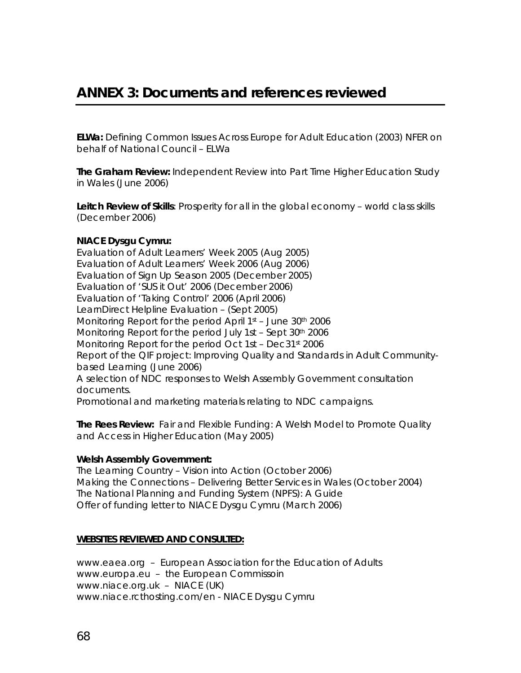<span id="page-69-0"></span>**ELWa:** Defining Common Issues Across Europe for Adult Education (2003) NFER on behalf of National Council – ELWa

**The Graham Review:** Independent Review into Part Time Higher Education Study in Wales (June 2006)

**Leitch Review of Skills**: Prosperity for all in the global economy – world class skills (December 2006)

#### **NIACE Dysgu Cymru:**

Evaluation of Adult Learners' Week 2005 (Aug 2005) Evaluation of Adult Learners' Week 2006 (Aug 2006) Evaluation of Sign Up Season 2005 (December 2005) Evaluation of 'SUS it Out' 2006 (December 2006) Evaluation of 'Taking Control' 2006 (April 2006) LearnDirect Helpline Evaluation – (Sept 2005) Monitoring Report for the period April 1<sup>st</sup> – June 30<sup>th</sup> 2006 Monitoring Report for the period July 1st – Sept 30th 2006 Monitoring Report for the period Oct 1st - Dec31st 2006 Report of the QIF project: Improving Quality and Standards in Adult Communitybased Learning (June 2006) A selection of NDC responses to Welsh Assembly Government consultation documents. Promotional and marketing materials relating to NDC campaigns.

**The Rees Review:** Fair and Flexible Funding: A Welsh Model to Promote Quality and Access in Higher Education (May 2005)

#### **Welsh Assembly Government:**

The Learning Country – Vision into Action (October 2006) Making the Connections – Delivering Better Services in Wales (October 2004) The National Planning and Funding System (NPFS): A Guide Offer of funding letter to NIACE Dysgu Cymru (March 2006)

#### **WEBSITES REVIEWED AND CONSULTED:**

www.eaea.org – European Association for the Education of Adults www.europa.eu – the European Commissoin www.niace.org.uk – NIACE (UK) www.niace.rcthosting.com/en - NIACE Dysgu Cymru